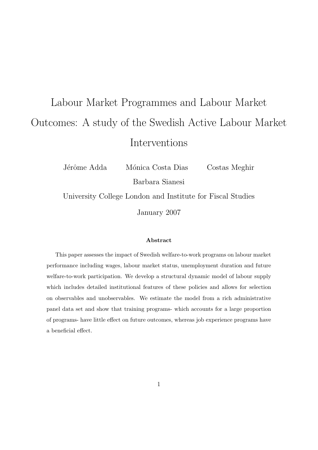# Labour Market Programmes and Labour Market Outcomes: A study of the Swedish Active Labour Market Interventions

Jérôme Adda Mónica Costa Dias Costas Meghir Barbara Sianesi

University College London and Institute for Fiscal Studies

January 2007

#### Abstract

This paper assesses the impact of Swedish welfare-to-work programs on labour market performance including wages, labour market status, unemployment duration and future welfare-to-work participation. We develop a structural dynamic model of labour supply which includes detailed institutional features of these policies and allows for selection on observables and unobservables. We estimate the model from a rich administrative panel data set and show that training programs- which accounts for a large proportion of programs- have little effect on future outcomes, whereas job experience programs have a beneficial effect.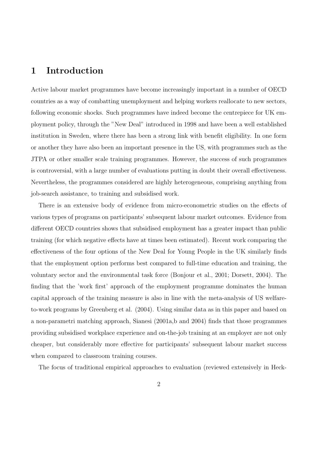# 1 Introduction

Active labour market programmes have become increasingly important in a number of OECD countries as a way of combatting unemployment and helping workers reallocate to new sectors, following economic shocks. Such programmes have indeed become the centrepiece for UK employment policy, through the "New Deal" introduced in 1998 and have been a well established institution in Sweden, where there has been a strong link with benefit eligibility. In one form or another they have also been an important presence in the US, with programmes such as the JTPA or other smaller scale training programmes. However, the success of such programmes is controversial, with a large number of evaluations putting in doubt their overall effectiveness. Nevertheless, the programmes considered are highly heterogeneous, comprising anything from job-search assistance, to training and subsidised work.

There is an extensive body of evidence from micro-econometric studies on the effects of various types of programs on participants' subsequent labour market outcomes. Evidence from different OECD countries shows that subsidised employment has a greater impact than public training (for which negative effects have at times been estimated). Recent work comparing the effectiveness of the four options of the New Deal for Young People in the UK similarly finds that the employment option performs best compared to full-time education and training, the voluntary sector and the environmental task force (Bonjour et al., 2001; Dorsett, 2004). The finding that the 'work first' approach of the employment programme dominates the human capital approach of the training measure is also in line with the meta-analysis of US welfareto-work programs by Greenberg et al. (2004). Using similar data as in this paper and based on a non-parametri matching approach, Sianesi (2001a,b and 2004) finds that those programmes providing subsidised workplace experience and on-the-job training at an employer are not only cheaper, but considerably more effective for participants' subsequent labour market success when compared to classroom training courses.

The focus of traditional empirical approaches to evaluation (reviewed extensively in Heck-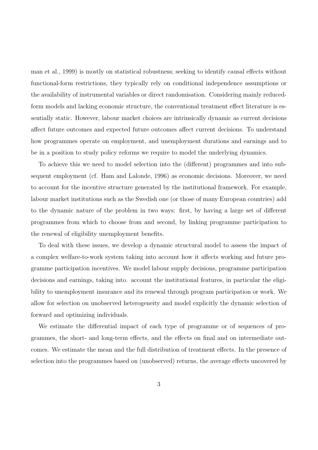man et al., 1999) is mostly on statistical robustness; seeking to identify causal effects without functional-form restrictions, they typically rely on conditional independence assumptions or the availability of instrumental variables or direct randomisation. Considering mainly reducedform models and lacking economic structure, the conventional treatment effect literature is essentially static. However, labour market choices are intrinsically dynamic as current decisions affect future outcomes and expected future outcomes affect current decisions. To understand how programmes operate on employment, and unemployment durations and earnings and to be in a position to study policy reforms we require to model the underlying dynamics.

To achieve this we need to model selection into the (different) programmes and into subsequent employment (cf. Ham and Lalonde, 1996) as economic decisions. Moreover, we need to account for the incentive structure generated by the institutional framework. For example, labour market institutions such as the Swedish one (or those of many European countries) add to the dynamic nature of the problem in two ways: first, by having a large set of different programmes from which to choose from and second, by linking programme participation to the renewal of eligibility unemployment benefits.

To deal with these issues, we develop a dynamic structural model to assess the impact of a complex welfare-to-work system taking into account how it affects working and future programme participation incentives. We model labour supply decisions, programme participation decisions and earnings, taking into. account the institutional features, in particular the eligibility to unemployment insurance and its renewal through program participation or work. We allow for selection on unobserved heterogeneity and model explicitly the dynamic selection of forward and optimizing individuals.

We estimate the differential impact of each type of programme or of sequences of programmes, the short- and long-term effects, and the effects on final and on intermediate outcomes. We estimate the mean and the full distribution of treatment effects. In the presence of selection into the programmes based on (unobserved) returns, the average effects uncovered by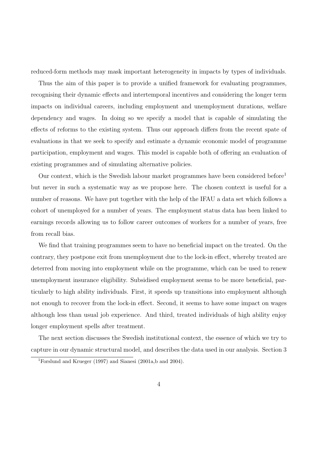reduced-form methods may mask important heterogeneity in impacts by types of individuals.

Thus the aim of this paper is to provide a unified framework for evaluating programmes, recognising their dynamic effects and intertemporal incentives and considering the longer term impacts on individual careers, including employment and unemployment durations, welfare dependency and wages. In doing so we specify a model that is capable of simulating the effects of reforms to the existing system. Thus our approach differs from the recent spate of evaluations in that we seek to specify and estimate a dynamic economic model of programme participation, employment and wages. This model is capable both of offering an evaluation of existing programmes and of simulating alternative policies.

Our context, which is the Swedish labour market programmes have been considered before<sup>1</sup> but never in such a systematic way as we propose here. The chosen context is useful for a number of reasons. We have put together with the help of the IFAU a data set which follows a cohort of unemployed for a number of years. The employment status data has been linked to earnings records allowing us to follow career outcomes of workers for a number of years, free from recall bias.

We find that training programmes seem to have no beneficial impact on the treated. On the contrary, they postpone exit from unemployment due to the lock-in effect, whereby treated are deterred from moving into employment while on the programme, which can be used to renew unemployment insurance eligibility. Subsidised employment seems to be more beneficial, particularly to high ability individuals. First, it speeds up transitions into employment although not enough to recover from the lock-in effect. Second, it seems to have some impact on wages although less than usual job experience. And third, treated individuals of high ability enjoy longer employment spells after treatment.

The next section discusses the Swedish institutional context, the essence of which we try to capture in our dynamic structural model, and describes the data used in our analysis. Section 3

<sup>1</sup>Forslund and Krueger (1997) and Sianesi (2001a,b and 2004).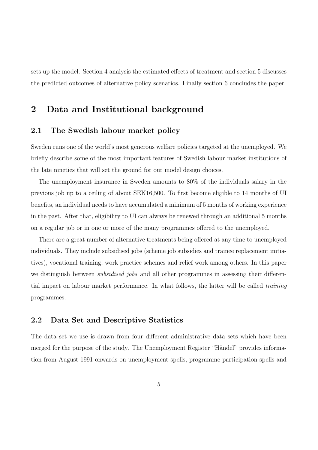sets up the model. Section 4 analysis the estimated effects of treatment and section 5 discusses the predicted outcomes of alternative policy scenarios. Finally section 6 concludes the paper.

### 2 Data and Institutional background

#### 2.1 The Swedish labour market policy

Sweden runs one of the world's most generous welfare policies targeted at the unemployed. We briefly describe some of the most important features of Swedish labour market institutions of the late nineties that will set the ground for our model design choices.

The unemployment insurance in Sweden amounts to 80% of the individuals salary in the previous job up to a ceiling of about SEK16,500. To first become eligible to 14 months of UI benefits, an individual needs to have accumulated a minimum of 5 months of working experience in the past. After that, eligibility to UI can always be renewed through an additional 5 months on a regular job or in one or more of the many programmes offered to the unemployed.

There are a great number of alternative treatments being offered at any time to unemployed individuals. They include subsidised jobs (scheme job subsidies and trainee replacement initiatives), vocational training, work practice schemes and relief work among others. In this paper we distinguish between *subsidised jobs* and all other programmes in assessing their differential impact on labour market performance. In what follows, the latter will be called training programmes.

#### 2.2 Data Set and Descriptive Statistics

The data set we use is drawn from four different administrative data sets which have been merged for the purpose of the study. The Unemployment Register "Händel" provides information from August 1991 onwards on unemployment spells, programme participation spells and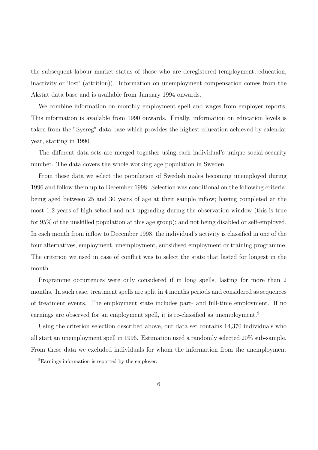the subsequent labour market status of those who are deregistered (employment, education, inactivity or 'lost' (attrition)). Information on unemployment compensation comes from the Akstat data base and is available from January 1994 onwards.

We combine information on monthly employment spell and wages from employer reports. This information is available from 1990 onwards. Finally, information on education levels is taken from the "Sysreg" data base which provides the highest education achieved by calendar year, starting in 1990.

The different data sets are merged together using each individual's unique social security number. The data covers the whole working age population in Sweden.

From these data we select the population of Swedish males becoming unemployed during 1996 and follow them up to December 1998. Selection was conditional on the following criteria: being aged between 25 and 30 years of age at their sample inflow; having completed at the most 1-2 years of high school and not upgrading during the observation window (this is true for 95% of the unskilled population at this age group); and not being disabled or self-employed. In each month from inflow to December 1998, the individual's activity is classified in one of the four alternatives, employment, unemployment, subsidised employment or training programme. The criterion we used in case of conflict was to select the state that lasted for longest in the month.

Programme occurrences were only considered if in long spells, lasting for more than 2 months. In such case, treatment spells are split in 4 months periods and considered as sequences of treatment events. The employment state includes part- and full-time employment. If no earnings are observed for an employment spell, it is re-classified as unemployment.<sup>2</sup>

Using the criterion selection described above, our data set contains 14,370 individuals who all start an unemployment spell in 1996. Estimation used a randomly selected 20% sub-sample. From these data we excluded individuals for whom the information from the unemployment

<sup>2</sup>Earnings information is reported by the employer.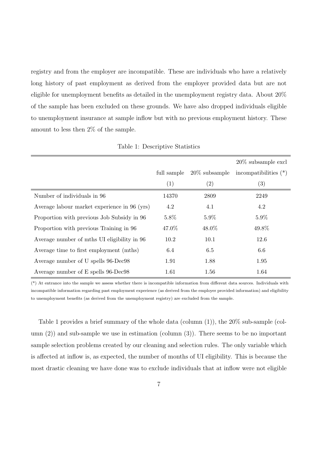registry and from the employer are incompatible. These are individuals who have a relatively long history of past employment as derived from the employer provided data but are not eligible for unemployment benefits as detailed in the unemployment registry data. About 20% of the sample has been excluded on these grounds. We have also dropped individuals eligible to unemployment insurance at sample inflow but with no previous employment history. These amount to less then 2% of the sample.

|                                              |             |                   | $20\%$ subsample excl   |
|----------------------------------------------|-------------|-------------------|-------------------------|
|                                              | full sample | $20\%$ subsample  | incompatibilities $(*)$ |
|                                              | (1)         | $\left( 2\right)$ | $\left( 3\right)$       |
| Number of individuals in 96                  | 14370       | 2809              | 2249                    |
| Average labour market experience in 96 (yrs) | 4.2         | 4.1               | 4.2                     |
| Proportion with previous Job Subsidy in 96   | $5.8\%$     | $5.9\%$           | 5.9%                    |
| Proportion with previous Training in 96      | 47.0%       | 48.0%             | 49.8%                   |
| Average number of mths UI eligibility in 96  | 10.2        | 10.1              | 12.6                    |
| Average time to first employment (mths)      | 6.4         | 6.5               | 6.6                     |
| Average number of U spells 96-Dec98          | 1.91        | 1.88              | 1.95                    |
| Average number of E spells 96-Dec98          | 1.61        | 1.56              | 1.64                    |

Table 1: Descriptive Statistics

(\*) At entrance into the sample we assess whether there is incompatible information from different data sources. Individuals with incompatible information regarding past employment experience (as derived from the employer provided information) and eligibility to unemployment benefits (as derived from the unemployment registry) are excluded from the sample.

Table 1 provides a brief summary of the whole data (column (1)), the 20% sub-sample (column  $(2)$ ) and sub-sample we use in estimation (column  $(3)$ ). There seems to be no important sample selection problems created by our cleaning and selection rules. The only variable which is affected at inflow is, as expected, the number of months of UI eligibility. This is because the most drastic cleaning we have done was to exclude individuals that at inflow were not eligible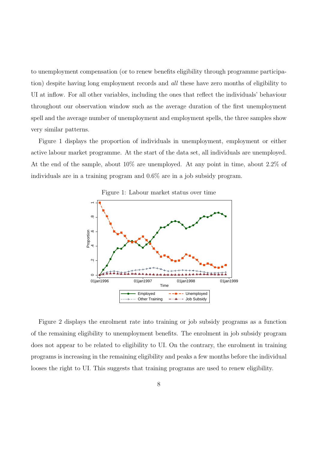to unemployment compensation (or to renew benefits eligibility through programme participation) despite having long employment records and *all* these have zero months of eligibility to UI at inflow. For all other variables, including the ones that reflect the individuals' behaviour throughout our observation window such as the average duration of the first unemployment spell and the average number of unemployment and employment spells, the three samples show very similar patterns.

Figure 1 displays the proportion of individuals in unemployment, employment or either active labour market programme. At the start of the data set, all individuals are unemployed. At the end of the sample, about 10% are unemployed. At any point in time, about 2.2% of individuals are in a training program and 0.6% are in a job subsidy program.





Figure 2 displays the enrolment rate into training or job subsidy programs as a function of the remaining eligibility to unemployment benefits. The enrolment in job subsidy program does not appear to be related to eligibility to UI. On the contrary, the enrolment in training programs is increasing in the remaining eligibility and peaks a few months before the individual looses the right to UI. This suggests that training programs are used to renew eligibility.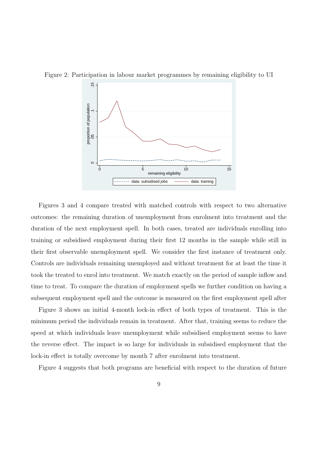

Figure 2: Participation in labour market programmes by remaining eligibility to UI

Figures 3 and 4 compare treated with matched controls with respect to two alternative outcomes: the remaining duration of unemployment from enrolment into treatment and the duration of the next employment spell. In both cases, treated are individuals enrolling into training or subsidised employment during their first 12 months in the sample while still in their first observable unemployment spell. We consider the first instance of treatment only. Controls are individuals remaining unemployed and without treatment for at least the time it took the treated to enrol into treatment. We match exactly on the period of sample inflow and time to treat. To compare the duration of employment spells we further condition on having a subsequent employment spell and the outcome is measured on the first employment spell after

Figure 3 shows an initial 4-month lock-in effect of both types of treatment. This is the minimum period the individuals remain in treatment. After that, training seems to reduce the speed at which individuals leave unemployment while subsidised employment seems to have the reverse effect. The impact is so large for individuals in subsidised employment that the lock-in effect is totally overcome by month 7 after enrolment into treatment.

Figure 4 suggests that both programs are beneficial with respect to the duration of future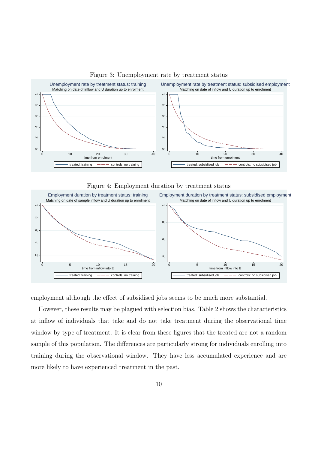

#### Figure 3: Unemployment rate by treatment status

Figure 4: Employment duration by treatment status



employment although the effect of subsidised jobs seems to be much more substantial.

However, these results may be plagued with selection bias. Table 2 shows the characteristics at inflow of individuals that take and do not take treatment during the observational time window by type of treatment. It is clear from these figures that the treated are not a random sample of this population. The differences are particularly strong for individuals enrolling into training during the observational window. They have less accumulated experience and are more likely to have experienced treatment in the past.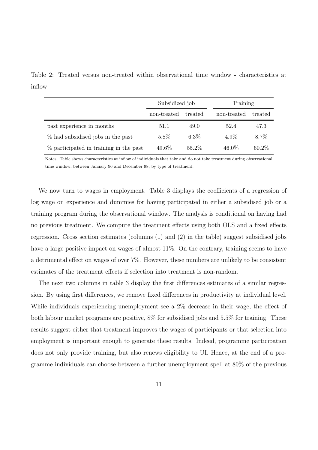Table 2: Treated versus non-treated within observational time window - characteristics at inflow

|                                        | Subsidized job |         | Training    |          |
|----------------------------------------|----------------|---------|-------------|----------|
|                                        | non-treated    | treated | non-treated | treated  |
| past experience in months              | 51.1           | 49.0    | 52.4        | 47.3     |
| % had subsidised jobs in the past      | 5.8%           | $6.3\%$ | $4.9\%$     | 8.7%     |
| % participated in training in the past | 49.6\%         | 55.2\%  | 46.0%       | $60.2\%$ |

Notes: Table shows characteristics at inflow of individuals that take and do not take treatment during observational time window, between January 96 and December 98, by type of treatment.

We now turn to wages in employment. Table 3 displays the coefficients of a regression of log wage on experience and dummies for having participated in either a subsidised job or a training program during the observational window. The analysis is conditional on having had no previous treatment. We compute the treatment effects using both OLS and a fixed effects regression. Cross section estimates (columns (1) and (2) in the table) suggest subsidised jobs have a large positive impact on wages of almost 11%. On the contrary, training seems to have a detrimental effect on wages of over 7%. However, these numbers are unlikely to be consistent estimates of the treatment effects if selection into treatment is non-random.

The next two columns in table 3 display the first differences estimates of a similar regression. By using first differences, we remove fixed differences in productivity at individual level. While individuals experiencing unemployment see a 2% decrease in their wage, the effect of both labour market programs are positive, 8% for subsidised jobs and 5.5% for training. These results suggest either that treatment improves the wages of participants or that selection into employment is important enough to generate these results. Indeed, programme participation does not only provide training, but also renews eligibility to UI. Hence, at the end of a programme individuals can choose between a further unemployment spell at 80% of the previous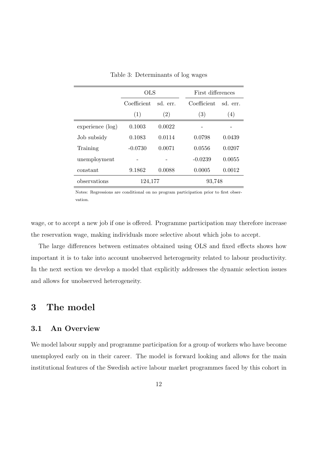|                  | <b>OLS</b>             |        | First differences |         |
|------------------|------------------------|--------|-------------------|---------|
|                  | Coefficient<br>sd err. |        | Coefficient       | sd err. |
|                  | (1)                    | (2)    | (3)               | (4)     |
| experience (log) | 0.1003                 | 0.0022 |                   |         |
| Job subsidy      | 0.1083                 | 0.0114 | 0.0798            | 0.0439  |
| Training         | $-0.0730$              | 0.0071 | 0.0556            | 0.0207  |
| unemployment     |                        |        | $-0.0239$         | 0.0055  |
| constant         | 9.1862                 | 0.0088 | 0.0005            | 0.0012  |
| observations     | 124,177                |        | 93,748            |         |

Table 3: Determinants of log wages

Notes: Regressions are conditional on no program participation prior to first observation.

wage, or to accept a new job if one is offered. Programme participation may therefore increase the reservation wage, making individuals more selective about which jobs to accept.

The large differences between estimates obtained using OLS and fixed effects shows how important it is to take into account unobserved heterogeneity related to labour productivity. In the next section we develop a model that explicitly addresses the dynamic selection issues and allows for unobserved heterogeneity.

# 3 The model

#### 3.1 An Overview

We model labour supply and programme participation for a group of workers who have become unemployed early on in their career. The model is forward looking and allows for the main institutional features of the Swedish active labour market programmes faced by this cohort in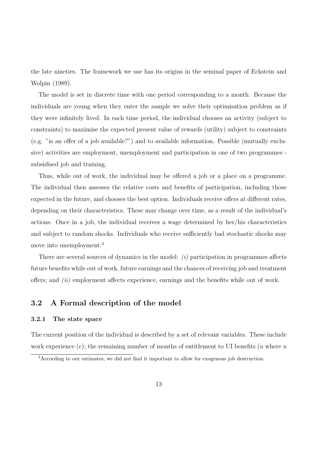the late nineties. The framework we use has its origins in the seminal paper of Eckstein and Wolpin (1989).

The model is set in discrete time with one period corresponding to a month. Because the individuals are young when they enter the sample we solve their optimisation problem as if they were infinitely lived. In each time period, the individual chooses an activity (subject to constraints) to maximise the expected present value of rewards (utility) subject to constraints (e.g. "is an offer of a job available?") and to available information. Possible (mutually exclusive) activities are employment, unemployment and participation in one of two programmes subsidised job and training.

Thus, while out of work, the individual may be offered a job or a place on a programme. The individual then assesses the relative costs and benefits of participation, including those expected in the future, and chooses the best option. Individuals receive offers at different rates, depending on their characteristics. These may change over time, as a result of the individual's actions. Once in a job, the individual receives a wage determined by her/his characteristics and subject to random shocks. Individuals who receive sufficiently bad stochastic shocks may move into unemployment.<sup>3</sup>

There are several sources of dynamics in the model: (i) participation in programmes affects future benefits while out of work, future earnings and the chances of receiving job and treatment offers; and (ii) employment affects experience, earnings and the benefits while out of work.

#### 3.2 A Formal description of the model

#### 3.2.1 The state space

The current position of the individual is described by a set of relevant variables. These include work experience  $(e)$ ; the remaining number of months of entitlement to UI benefits (u where u

<sup>3</sup>According to our estimates, we did not find it important to allow for exogenous job destruction.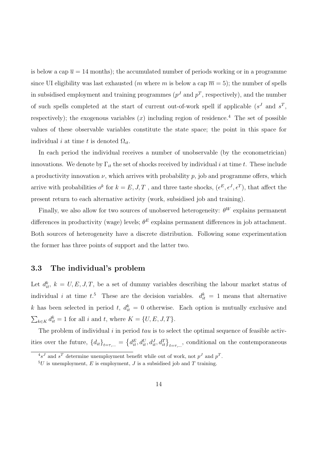is below a cap  $\overline{u} = 14$  months); the accumulated number of periods working or in a programme since UI eligibility was last exhausted (*m* where *m* is below a cap  $\overline{m} = 5$ ); the number of spells in subsidised employment and training programmes ( $p<sup>J</sup>$  and  $p<sup>T</sup>$ , respectively), and the number of such spells completed at the start of current out-of-work spell if applicable  $(s^J \text{ and } s^T)$ , respectively); the exogenous variables  $(x)$  including region of residence.<sup>4</sup> The set of possible values of these observable variables constitute the state space; the point in this space for individual i at time t is denoted  $\Omega_{it}$ .

In each period the individual receives a number of unobservable (by the econometrician) innovations. We denote by  $\Gamma_{it}$  the set of shocks received by individual i at time t. These include a productivity innovation  $\nu$ , which arrives with probability  $p$ , job and programme offers, which arrive with probabilities  $o^k$  for  $k = E, J, T$ , and three taste shocks,  $(\epsilon^E, \epsilon^J, \epsilon^T)$ , that affect the present return to each alternative activity (work, subsidised job and training).

Finally, we also allow for two sources of unobserved heterogeneity:  $\theta^{W}$  explains permanent differences in productivity (wage) levels;  $\theta^E$  explains permanent differences in job attachment. Both sources of heterogeneity have a discrete distribution. Following some experimentation the former has three points of support and the latter two.

#### 3.3 The individual's problem

Let  $d_{it}^k$ ,  $k = U, E, J, T$ , be a set of dummy variables describing the labour market status of individual *i* at time  $t^{5}$ . These are the decision variables.  $d_{it}^{k} = 1$  means that alternative k has been selected in period t,  $d_{it}^k = 0$  otherwise. Each option is mutually exclusive and  $\overline{ }$  $_{k\in K} d_{it}^k = 1$  for all i and t, where  $K = \{U, E, J, T\}.$ 

The problem of individual  $i$  in period  $tau$  is to select the optimal sequence of feasible activities over the future,  $\{d_{it}\}_{t=\tau,\dots}$  =  $\overline{a}$  $d_{it}^{E}, d_{it}^{U}, d_{it}^{J}, d_{it}^{T}\}_{t=\tau, \dots}$ , conditional on the contemporaneous

 $4s<sup>J</sup>$  and  $s<sup>T</sup>$  determine unemployment benefit while out of work, not  $p<sup>J</sup>$  and  $p<sup>T</sup>$ .

 ${}^{5}U$  is unemployment, E is employment, J is a subsidised job and T training.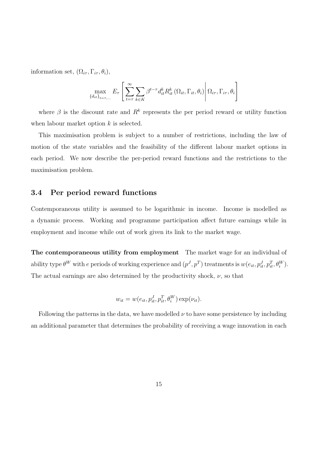information set,  $(\Omega_{i\tau}, \Gamma_{i\tau}, \theta_i)$ ,

$$
\max_{\{d_{it}\}_{t=\tau,...}} E_{\tau} \left[ \sum_{t=\tau}^{\infty} \sum_{k \in K} \beta^{t-\tau} d_{it}^{k} R_{it}^{k} \left( \Omega_{it}, \Gamma_{it}, \theta_{i} \right) \middle| \Omega_{i\tau}, \Gamma_{i\tau}, \theta_{i} \right]
$$

where  $\beta$  is the discount rate and  $R^k$  represents the per period reward or utility function when labour market option  $k$  is selected.

This maximisation problem is subject to a number of restrictions, including the law of motion of the state variables and the feasibility of the different labour market options in each period. We now describe the per-period reward functions and the restrictions to the maximisation problem.

#### 3.4 Per period reward functions

Contemporaneous utility is assumed to be logarithmic in income. Income is modelled as a dynamic process. Working and programme participation affect future earnings while in employment and income while out of work given its link to the market wage.

The contemporaneous utility from employment The market wage for an individual of ability type  $\theta^W$  with e periods of working experience and  $(p^J, p^T)$  treatments is  $w(e_{it}, p_{it}^J, p_{it}^T, \theta_i^W)$ . The actual earnings are also determined by the productivity shock,  $\nu$ , so that

$$
w_{it} = w(e_{it}, p_{it}^J, p_{it}^T, \theta_i^W) \exp(\nu_{it}).
$$

Following the patterns in the data, we have modelled  $\nu$  to have some persistence by including an additional parameter that determines the probability of receiving a wage innovation in each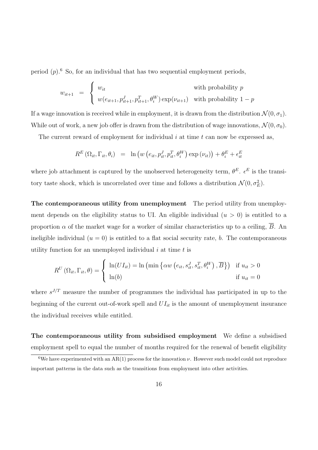period  $(p)$ .<sup>6</sup> So, for an individual that has two sequential employment periods,

$$
w_{it+1} = \begin{cases} w_{it} & \text{with probability } p \\ w(e_{it+1}, p_{it+1}^J, p_{it+1}^T, \theta_i^W) \exp(\nu_{it+1}) & \text{with probability } 1 - p \end{cases}
$$

If a wage innovation is received while in employment, it is drawn from the distribution  $\mathcal{N}(0, \sigma_1)$ . While out of work, a new job offer is drawn from the distribution of wage innovations,  $\mathcal{N}(0, \sigma_0)$ .

The current reward of employment for individual  $i$  at time  $t$  can now be expressed as,

$$
R^{E}(\Omega_{it}, \Gamma_{it}, \theta_{i}) = \ln (w(e_{it}, p_{it}^{J}, p_{it}^{T}, \theta_{i}^{W}) \exp (\nu_{it})) + \theta_{i}^{E} + \epsilon_{it}^{E}
$$

where job attachment is captured by the unobserved heterogeneity term,  $\theta^E$ .  $\epsilon^E$  is the transitory taste shock, which is uncorrelated over time and follows a distribution  $\mathcal{N}(0, \sigma_E^2)$ .

The contemporaneous utility from unemployment The period utility from unemployment depends on the eligibility status to UI. An eligible individual  $(u > 0)$  is entitled to a proportion  $\alpha$  of the market wage for a worker of similar characteristics up to a ceiling,  $\overline{B}$ . An ineligible individual  $(u = 0)$  is entitled to a flat social security rate, b. The contemporaneous utility function for an unemployed individual  $i$  at time  $t$  is

$$
R^{U}(\Omega_{it}, \Gamma_{it}, \theta) = \begin{cases} \ln(U I_{it}) = \ln\left(\min\left\{\alpha w\left(e_{it}, s_{it}^{J}, s_{it}^{T}, \theta_{i}^{W}\right), \overline{B}\right\}\right) & \text{if } u_{it} > 0\\ \ln(b) & \text{if } u_{it} = 0 \end{cases}
$$

where  $s^{J/T}$  measure the number of programmes the individual has participated in up to the beginning of the current out-of-work spell and  $UI_{it}$  is the amount of unemployment insurance the individual receives while entitled.

The contemporaneous utility from subsidised employment We define a subsidised employment spell to equal the number of months required for the renewal of benefit eligibility

<sup>&</sup>lt;sup>6</sup>We have experimented with an AR(1) process for the innovation  $\nu$ . However such model could not reproduce important patterns in the data such as the transitions from employment into other activities.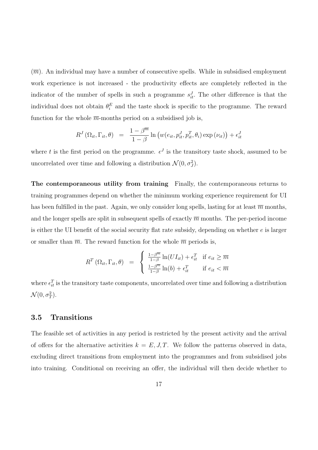$(\overline{m})$ . An individual may have a number of consecutive spells. While in subsidised employment work experience is not increased - the productivity effects are completely reflected in the indicator of the number of spells in such a programme  $s_{it}^J$ . The other difference is that the individual does not obtain  $\theta_i^E$  and the taste shock is specific to the programme. The reward function for the whole  $\overline{m}$ -months period on a subsidised job is,

$$
R^{J}(\Omega_{it}, \Gamma_{it}, \theta) = \frac{1 - \beta^{\overline{m}}}{1 - \beta} \ln \left( w(e_{it}, p_{it}^{J}, p_{it}^{T}, \theta_{i}) \exp (\nu_{it}) \right) + \epsilon_{it}^{J}
$$

where t is the first period on the programme.  $\epsilon^J$  is the transitory taste shock, assumed to be uncorrelated over time and following a distribution  $\mathcal{N}(0, \sigma_j^2)$ .

The contemporaneous utility from training Finally, the contemporaneous returns to training programmes depend on whether the minimum working experience requirement for UI has been fulfilled in the past. Again, we only consider long spells, lasting for at least  $\overline{m}$  months, and the longer spells are split in subsequent spells of exactly  $\overline{m}$  months. The per-period income is either the UI benefit of the social security flat rate subsidy, depending on whether  $e$  is larger or smaller than  $\overline{m}$ . The reward function for the whole  $\overline{m}$  periods is,

$$
R^{T}(\Omega_{it}, \Gamma_{it}, \theta) = \begin{cases} \frac{1-\beta^{\overline{m}}}{1-\beta} \ln(U I_{it}) + \epsilon_{it}^{T} & \text{if } e_{it} \geq \overline{m} \\ \frac{1-\beta^{\overline{m}}}{1-\beta} \ln(b) + \epsilon_{it}^{T} & \text{if } e_{it} < \overline{m} \end{cases}
$$

where  $\epsilon_{it}^T$  is the transitory taste components, uncorrelated over time and following a distribution  $\mathcal{N}(0, \sigma_T^2)$ .

#### 3.5 Transitions

The feasible set of activities in any period is restricted by the present activity and the arrival of offers for the alternative activities  $k = E, J, T$ . We follow the patterns observed in data, excluding direct transitions from employment into the programmes and from subsidised jobs into training. Conditional on receiving an offer, the individual will then decide whether to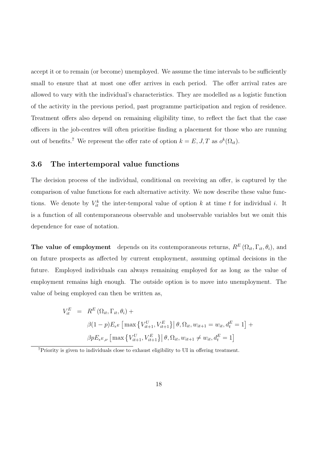accept it or to remain (or become) unemployed. We assume the time intervals to be sufficiently small to ensure that at most one offer arrives in each period. The offer arrival rates are allowed to vary with the individual's characteristics. They are modelled as a logistic function of the activity in the previous period, past programme participation and region of residence. Treatment offers also depend on remaining eligibility time, to reflect the fact that the case officers in the job-centres will often prioritise finding a placement for those who are running out of benefits.<sup>7</sup> We represent the offer rate of option  $k = E, J, T$  as  $o^k(\Omega_{it})$ .

#### 3.6 The intertemporal value functions

The decision process of the individual, conditional on receiving an offer, is captured by the comparison of value functions for each alternative activity. We now describe these value functions. We denote by  $V_{it}^k$  the inter-temporal value of option k at time t for individual i. It is a function of all contemporaneous observable and unobservable variables but we omit this dependence for ease of notation.

The value of employment depends on its contemporaneous returns,  $R^{E}(\Omega_{it}, \Gamma_{it}, \theta_i)$ , and on future prospects as affected by current employment, assuming optimal decisions in the future. Employed individuals can always remaining employed for as long as the value of employment remains high enough. The outside option is to move into unemployment. The value of being employed can then be written as,

$$
V_{it}^{E} = R^{E} (\Omega_{it}, \Gamma_{it}, \theta_{i}) +
$$
  
\n
$$
\beta (1-p) E_{\epsilon^{E}} [\max \{ V_{it+1}^{U}, V_{it+1}^{E} \} | \theta, \Omega_{it}, w_{it+1} = w_{it}, d_{t}^{E} = 1] +
$$
  
\n
$$
\beta p E_{\epsilon^{E}, \nu} [\max \{ V_{it+1}^{U}, V_{it+1}^{E} \} | \theta, \Omega_{it}, w_{it+1} \neq w_{it}, d_{t}^{E} = 1]
$$

<sup>7</sup>Priority is given to individuals close to exhaust eligibility to UI in offering treatment.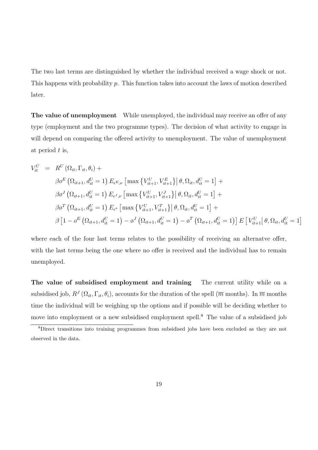The two last terms are distinguished by whether the individual received a wage shock or not. This happens with probability  $p$ . This function takes into account the laws of motion described later.

The value of unemployment While unemployed, the individual may receive an offer of any type (employment and the two programme types). The decision of what activity to engage in will depend on comparing the offered activity to unemployment. The value of unemployment at period  $t$  is,

$$
V_{it}^{U} = R^{U}(\Omega_{it}, \Gamma_{it}, \theta_{i}) +
$$
  
\n
$$
\beta o^{E}(\Omega_{it+1}, d_{it}^{U} = 1) E_{\epsilon^{E}, \nu} [\max \{V_{it+1}^{U}, V_{it+1}^{E}\} | \theta, \Omega_{it}, d_{it}^{U} = 1] +
$$
  
\n
$$
\beta o^{J}(\Omega_{it+1}, d_{it}^{U} = 1) E_{\epsilon^{J}, \nu} [\max \{V_{it+1}^{U}, V_{it+1}^{J}\} | \theta, \Omega_{it}, d_{it}^{U} = 1] +
$$
  
\n
$$
\beta o^{T}(\Omega_{it+1}, d_{it}^{U} = 1) E_{\epsilon^{o}} [\max \{V_{it+1}^{U}, V_{it+1}^{T}\} | \theta, \Omega_{it}, d_{it}^{U} = 1] +
$$
  
\n
$$
\beta [1 - o^{E}(\Omega_{it+1}, d_{it}^{U} = 1) - o^{J}(\Omega_{it+1}, d_{it}^{U} = 1) - o^{T}(\Omega_{it+1}, d_{it}^{U} = 1)] E[V_{it+1}^{U} | \theta, \Omega_{it}, d_{it}^{U} = 1]
$$

where each of the four last terms relates to the possibility of receiving an alternative offer, with the last terms being the one where no offer is received and the individual has to remain unemployed.

The value of subsidised employment and training The current utility while on a subsidised job,  $R^J(\Omega_{it}, \Gamma_{it}, \theta_i)$ , accounts for the duration of the spell  $(\overline{m}$  months). In  $\overline{m}$  months time the individual will be weighing up the options and if possible will be deciding whether to move into employment or a new subsidised employment spell.<sup>8</sup> The value of a subsidised job

<sup>8</sup>Direct transitions into training programmes from subsidised jobs have been excluded as they are not observed in the data.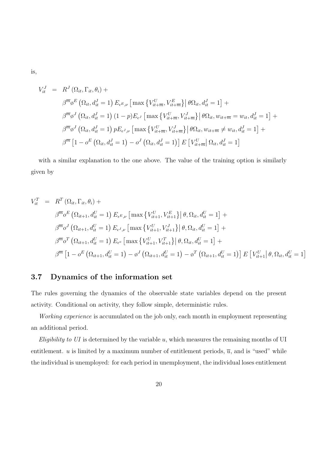is,

$$
V_{it}^{J} = R^{J}(\Omega_{it}, \Gamma_{it}, \theta_{i}) +
$$
  
\n
$$
\beta^{\overline{m}} \beta^{E} (\Omega_{it}, d_{it}^{J} = 1) E_{\epsilon^{E}, \nu} [\max \{ V_{it+\overline{m}}^{U}, V_{it+\overline{m}}^{E} \} | \theta \Omega_{it}, d_{it}^{J} = 1] +
$$
  
\n
$$
\beta^{\overline{m}} \beta^{J} (\Omega_{it}, d_{it}^{J} = 1) (1 - p) E_{\epsilon^{J}} [\max \{ V_{it+\overline{m}}^{U}, V_{it+\overline{m}}^{J} \} | \theta \Omega_{it}, w_{it+\overline{m}} = w_{it}, d_{it}^{J} = 1] +
$$
  
\n
$$
\beta^{\overline{m}} \beta^{J} (\Omega_{it}, d_{it}^{J} = 1) p E_{\epsilon^{J}, \nu} [\max \{ V_{it+\overline{m}}^{U}, V_{it+\overline{m}}^{J} \} | \theta \Omega_{it}, w_{it+\overline{m}} \neq w_{it}, d_{it}^{J} = 1] +
$$
  
\n
$$
\beta^{\overline{m}} [1 - o^{E} (\Omega_{it}, d_{it}^{J} = 1) - o^{J} (\Omega_{it}, d_{it}^{J} = 1)] E [V_{it+\overline{m}}^{U} | \Omega_{it}, d_{it}^{J} = 1]
$$

with a similar explanation to the one above. The value of the training option is similarly given by

$$
V_{it}^{T} = R^{T}(\Omega_{it}, \Gamma_{it}, \theta_{i}) +
$$
  
\n
$$
\beta^{\overline{m}_{0}E}(\Omega_{it+1}, d_{it}^{U} = 1) E_{\epsilon^{E}, \nu} [\max \{V_{it+1}^{U}, V_{it+1}^{E}\} | \theta, \Omega_{it}, d_{it}^{U} = 1] +
$$
  
\n
$$
\beta^{\overline{m}_{0}J}(\Omega_{it+1}, d_{it}^{U} = 1) E_{\epsilon^{J}, \nu} [\max \{V_{it+1}^{U}, V_{it+1}^{J}\} | \theta, \Omega_{it}, d_{it}^{U} = 1] +
$$
  
\n
$$
\beta^{\overline{m}_{0}T}(\Omega_{it+1}, d_{it}^{U} = 1) E_{\epsilon^{o}} [\max \{V_{it+1}^{U}, V_{it+1}^{T}\} | \theta, \Omega_{it}, d_{it}^{U} = 1] +
$$
  
\n
$$
\beta^{\overline{m}} [1 - o^{E}(\Omega_{it+1}, d_{it}^{U} = 1) - o^{J}(\Omega_{it+1}, d_{it}^{U} = 1) - o^{T}(\Omega_{it+1}, d_{it}^{U} = 1)] E [V_{it+1}^{U} | \theta, \Omega_{it}, d_{it}^{U} = 1]
$$

#### 3.7 Dynamics of the information set

The rules governing the dynamics of the observable state variables depend on the present activity. Conditional on activity, they follow simple, deterministic rules.

Working experience is accumulated on the job only, each month in employment representing an additional period.

Eligibility to  $UI$  is determined by the variable  $u$ , which measures the remaining months of UI entitlement. u is limited by a maximum number of entitlement periods,  $\overline{u}$ , and is "used" while the individual is unemployed: for each period in unemployment, the individual loses entitlement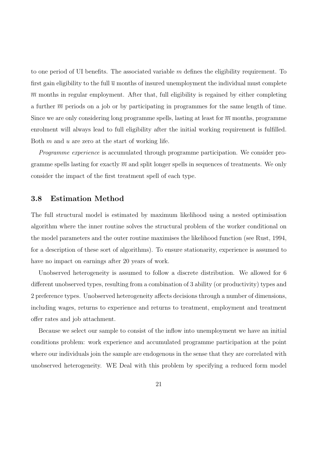to one period of UI benefits. The associated variable  $m$  defines the eligibility requirement. To first gain eligibility to the full  $\bar{u}$  months of insured unemployment the individual must complete  $\overline{m}$  months in regular employment. After that, full eligibility is regained by either completing a further  $\overline{m}$  periods on a job or by participating in programmes for the same length of time. Since we are only considering long programme spells, lasting at least for  $\overline{m}$  months, programme enrolment will always lead to full eligibility after the initial working requirement is fulfilled. Both  $m$  and  $u$  are zero at the start of working life.

Programme experience is accumulated through programme participation. We consider programme spells lasting for exactly  $\overline{m}$  and split longer spells in sequences of treatments. We only consider the impact of the first treatment spell of each type.

#### 3.8 Estimation Method

The full structural model is estimated by maximum likelihood using a nested optimisation algorithm where the inner routine solves the structural problem of the worker conditional on the model parameters and the outer routine maximises the likelihood function (see Rust, 1994, for a description of these sort of algorithms). To ensure stationarity, experience is assumed to have no impact on earnings after 20 years of work.

Unobserved heterogeneity is assumed to follow a discrete distribution. We allowed for 6 different unobserved types, resulting from a combination of 3 ability (or productivity) types and 2 preference types. Unobserved heterogeneity affects decisions through a number of dimensions, including wages, returns to experience and returns to treatment, employment and treatment offer rates and job attachment.

Because we select our sample to consist of the inflow into unemployment we have an initial conditions problem: work experience and accumulated programme participation at the point where our individuals join the sample are endogenous in the sense that they are correlated with unobserved heterogeneity. WE Deal with this problem by specifying a reduced form model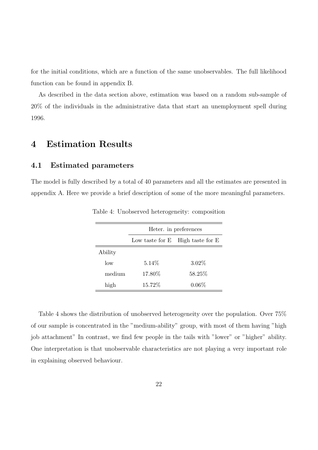for the initial conditions, which are a function of the same unobservables. The full likelihood function can be found in appendix B.

As described in the data section above, estimation was based on a random sub-sample of 20% of the individuals in the administrative data that start an unemployment spell during 1996.

# 4 Estimation Results

#### 4.1 Estimated parameters

The model is fully described by a total of 40 parameters and all the estimates are presented in appendix A. Here we provide a brief description of some of the more meaningful parameters.

|         | Heter. in preferences               |          |  |  |  |
|---------|-------------------------------------|----------|--|--|--|
|         | High taste for E<br>Low taste for E |          |  |  |  |
| Ability |                                     |          |  |  |  |
| $\log$  | $5.14\%$                            | $3.02\%$ |  |  |  |
| medium  | 17.80\%                             | 58.25%   |  |  |  |
| high    | 15.72%                              | $0.06\%$ |  |  |  |

Table 4: Unobserved heterogeneity: composition

Table 4 shows the distribution of unobserved heterogeneity over the population. Over 75% of our sample is concentrated in the "medium-ability" group, with most of them having "high job attachment" In contrast, we find few people in the tails with "lower" or "higher" ability. One interpretation is that unobservable characteristics are not playing a very important role in explaining observed behaviour.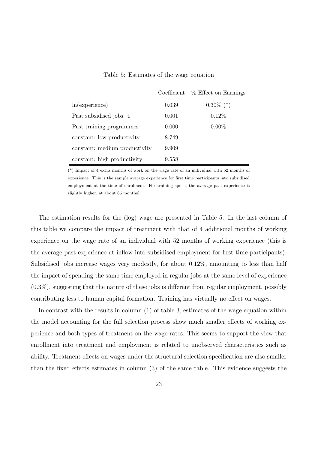|                               | Coefficient | % Effect on Earnings |
|-------------------------------|-------------|----------------------|
| ln(experience)                | 0.039       | $0.30\%$ (*)         |
| Past subsidised jobs: 1       | 0.001       | $0.12\%$             |
| Past training programmes      | 0.000       | $0.00\%$             |
| constant: low productivity    | 8.749       |                      |
| constant: medium productivity | 9.909       |                      |
| constant: high productivity   | 9.558       |                      |

Table 5: Estimates of the wage equation

(\*) Impact of 4 extra months of work on the wage rate of an individual with 52 months of experience. This is the sample average experience for first time participants into subsidised employment at the time of enrolment. For training spells, the average past experience is slightly higher, at about 65 months).

The estimation results for the (log) wage are presented in Table 5. In the last column of this table we compare the impact of treatment with that of 4 additional months of working experience on the wage rate of an individual with 52 months of working experience (this is the average past experience at inflow into subsidised employment for first time participants). Subsidised jobs increase wages very modestly, for about 0.12%, amounting to less than half the impact of spending the same time employed in regular jobs at the same level of experience  $(0.3\%)$ , suggesting that the nature of these jobs is different from regular employment, possibly contributing less to human capital formation. Training has virtually no effect on wages.

In contrast with the results in column (1) of table 3, estimates of the wage equation within the model accounting for the full selection process show much smaller effects of working experience and both types of treatment on the wage rates. This seems to support the view that enrollment into treatment and employment is related to unobserved characteristics such as ability. Treatment effects on wages under the structural selection specification are also smaller than the fixed effects estimates in column (3) of the same table. This evidence suggests the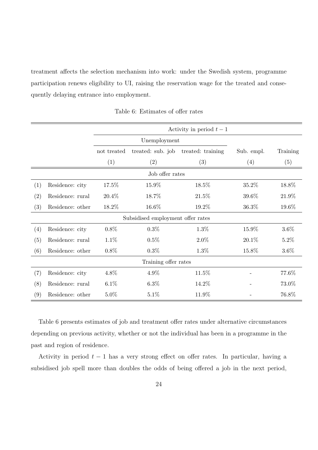treatment affects the selection mechanism into work: under the Swedish system, programme participation renews eligibility to UI, raising the reservation wage for the treated and consequently delaying entrance into employment.

|     |                  | Activity in period $t-1$ |                                   |                   |            |          |
|-----|------------------|--------------------------|-----------------------------------|-------------------|------------|----------|
|     |                  |                          | Unemployment                      |                   |            |          |
|     |                  | not treated              | treated: sub. job                 | treated: training | Sub. empl. | Training |
|     |                  | (1)                      | (2)                               | (3)               | (4)        | (5)      |
|     |                  |                          | Job offer rates                   |                   |            |          |
| (1) | Residence: city  | 17.5%                    | 15.9%                             | 18.5%             | 35.2%      | 18.8%    |
| (2) | Residence: rural | 20.4%                    | 18.7%                             | 21.5%             | 39.6%      | 21.9%    |
| (3) | Residence: other | 18.2%                    | 16.6%                             | 19.2%             | 36.3%      | 19.6%    |
|     |                  |                          | Subsidised employment offer rates |                   |            |          |
| (4) | Residence: city  | $0.8\%$                  | $0.3\%$                           | $1.3\%$           | 15.9%      | $3.6\%$  |
| (5) | Residence: rural | 1.1%                     | 0.5%                              | $2.0\%$           | 20.1%      | $5.2\%$  |
| (6) | Residence: other | $0.8\%$                  | $0.3\%$                           | $1.3\%$           | 15.8%      | 3.6%     |
|     |                  |                          | Training offer rates              |                   |            |          |
| (7) | Residence: city  | 4.8%                     | 4.9%                              | 11.5%             |            | 77.6%    |
| (8) | Residence: rural | $6.1\%$                  | $6.3\%$                           | 14.2%             |            | 73.0%    |
| (9) | Residence: other | 5.0%                     | $5.1\%$                           | 11.9%             |            | 76.8%    |

Table 6: Estimates of offer rates

Table 6 presents estimates of job and treatment offer rates under alternative circumstances depending on previous activity, whether or not the individual has been in a programme in the past and region of residence.

Activity in period  $t - 1$  has a very strong effect on offer rates. In particular, having a subsidised job spell more than doubles the odds of being offered a job in the next period,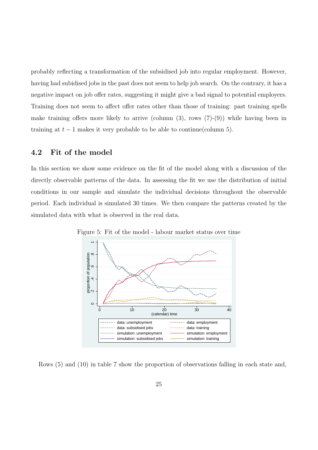probably reflecting a transformation of the subsidised job into regular employment. However, having had subidised jobs in the past does not seem to help job search. On the contrary, it has a negative impact on job offer rates, suggesting it might give a bad signal to potential employers. Training does not seem to affect offer rates other than those of training: past training spells make training offers more likely to arrive (column  $(3)$ , rows  $(7)-(9)$ ) while having been in training at  $t-1$  makes it very probable to be able to continue(column 5).

#### 4.2 Fit of the model

In this section we show some evidence on the fit of the model along with a discussion of the directly observable patterns of the data. In assessing the fit we use the distribution of initial conditions in our sample and simulate the individual decisions throughout the observable period. Each individual is simulated 30 times. We then compare the patterns created by the simulated data with what is observed in the real data.



Figure 5: Fit of the model - labour market status over time

Rows (5) and (10) in table 7 show the proportion of observations falling in each state and,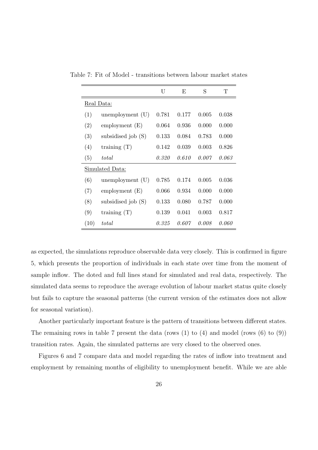| Table 7: Fit of Model - transitions between labour market states |  |
|------------------------------------------------------------------|--|
|------------------------------------------------------------------|--|

|            |                      | U     | E     | S     | Т     |  |  |
|------------|----------------------|-------|-------|-------|-------|--|--|
| Real Data: |                      |       |       |       |       |  |  |
| (1)        | unemployment $(U)$   | 0.781 | 0.177 | 0.005 | 0.038 |  |  |
| (2)        | employment $(E)$     | 0.064 | 0.936 | 0.000 | 0.000 |  |  |
| (3)        | subsidised job (S)   | 0.133 | 0.084 | 0.783 | 0.000 |  |  |
| (4)        | training $(T)$       | 0.142 | 0.039 | 0.003 | 0.826 |  |  |
| (5)        | total                | 0.320 | 0.610 | 0.007 | 0.063 |  |  |
|            | Simulated Data:      |       |       |       |       |  |  |
| (6)        | unemployment (U)     | 0.785 | 0.174 | 0.005 | 0.036 |  |  |
| (7)        | employment $(E)$     | 0.066 | 0.934 | 0.000 | 0.000 |  |  |
| (8)        | subsidised job $(S)$ | 0.133 | 0.080 | 0.787 | 0.000 |  |  |
| (9)        | training $(T)$       | 0.139 | 0.041 | 0.003 | 0.817 |  |  |
| (10)       | total                | 0.325 | 0.607 | 0.008 | 0.060 |  |  |

as expected, the simulations reproduce observable data very closely. This is confirmed in figure 5, which presents the proportion of individuals in each state over time from the moment of sample inflow. The doted and full lines stand for simulated and real data, respectively. The simulated data seems to reproduce the average evolution of labour market status quite closely but fails to capture the seasonal patterns (the current version of the estimates does not allow for seasonal variation).

Another particularly important feature is the pattern of transitions between different states. The remaining rows in table 7 present the data (rows  $(1)$  to  $(4)$  and model (rows  $(6)$  to  $(9)$ ) transition rates. Again, the simulated patterns are very closed to the observed ones.

Figures 6 and 7 compare data and model regarding the rates of inflow into treatment and employment by remaining months of eligibility to unemployment benefit. While we are able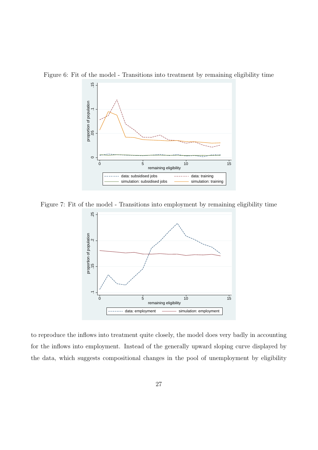

Figure 6: Fit of the model - Transitions into treatment by remaining eligibility time

Figure 7: Fit of the model - Transitions into employment by remaining eligibility time



to reproduce the inflows into treatment quite closely, the model does very badly in accounting for the inflows into employment. Instead of the generally upward sloping curve displayed by the data, which suggests compositional changes in the pool of unemployment by eligibility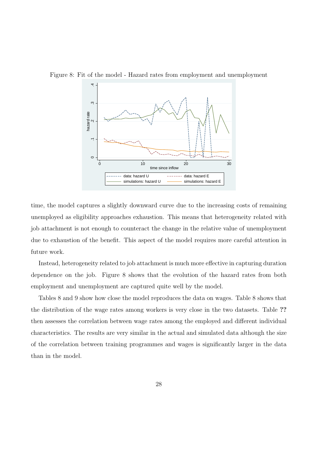

Figure 8: Fit of the model - Hazard rates from employment and unemployment

time, the model captures a slightly downward curve due to the increasing costs of remaining unemployed as eligibility approaches exhaustion. This means that heterogeneity related with job attachment is not enough to counteract the change in the relative value of unemployment due to exhaustion of the benefit. This aspect of the model requires more careful attention in future work.

Instead, heterogeneity related to job attachment is much more effective in capturing duration dependence on the job. Figure 8 shows that the evolution of the hazard rates from both employment and unemployment are captured quite well by the model.

Tables 8 and 9 show how close the model reproduces the data on wages. Table 8 shows that the distribution of the wage rates among workers is very close in the two datasets. Table ?? then assesses the correlation between wage rates among the employed and different individual characteristics. The results are very similar in the actual and simulated data although the size of the correlation between training programmes and wages is significantly larger in the data than in the model.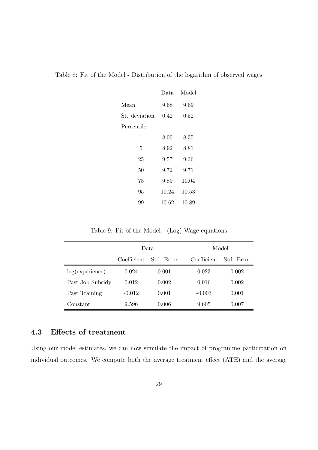|               | Data  | Model |
|---------------|-------|-------|
| Mean          | 9.68  | 9.69  |
| St. deviation | 0.42  | 0.52  |
| Percentile:   |       |       |
| 1             | 8.00  | 8.35  |
| 5             | 8.92  | 8.81  |
| 25            | 9.57  | 9.36  |
| 50            | 9.72  | 9.71  |
| 75            | 9.89  | 10.04 |
| 95            | 10.24 | 10.53 |
| 99            | 10.62 | 10.89 |

Table 8: Fit of the Model - Distribution of the logarithm of observed wages

Table 9: Fit of the Model - (Log) Wage equations

|                  | Data.                     |       |  |             | Model      |
|------------------|---------------------------|-------|--|-------------|------------|
|                  | Coefficient<br>Std. Error |       |  | Coefficient | Std. Error |
| log(experience)  | 0.024                     | 0.001 |  | 0.023       | 0.002      |
| Past Job Subsidy | 0.012                     | 0.002 |  | 0.016       | 0.002      |
| Past Training    | $-0.012$                  | 0.001 |  | $-0.003$    | 0.001      |
| Constant         | 9.596                     | 0.006 |  | 9.605       | 0.007      |

### 4.3 Effects of treatment

Using our model estimates, we can now simulate the impact of programme participation on individual outcomes. We compute both the average treatment effect (ATE) and the average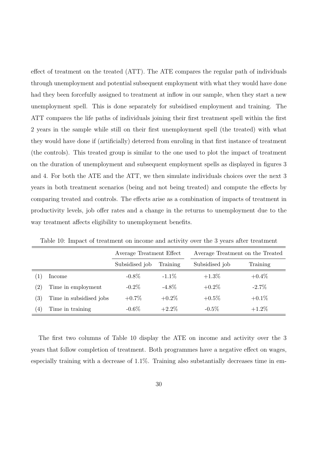effect of treatment on the treated (ATT). The ATE compares the regular path of individuals through unemployment and potential subsequent employment with what they would have done had they been forcefully assigned to treatment at inflow in our sample, when they start a new unemployment spell. This is done separately for subsidised employment and training. The ATT compares the life paths of individuals joining their first treatment spell within the first 2 years in the sample while still on their first unemployment spell (the treated) with what they would have done if (artificially) deterred from enroling in that first instance of treatment (the controls). This treated group is similar to the one used to plot the impact of treatment on the duration of unemployment and subsequent employment spells as displayed in figures 3 and 4. For both the ATE and the ATT, we then simulate individuals choices over the next 3 years in both treatment scenarios (being and not being treated) and compute the effects by comparing treated and controls. The effects arise as a combination of impacts of treatment in productivity levels, job offer rates and a change in the returns to unemployment due to the way treatment affects eligibility to unemployment benefits.

|                   |                         | Average Treatment Effect   |          | Average Treatment on the Treated |          |  |  |
|-------------------|-------------------------|----------------------------|----------|----------------------------------|----------|--|--|
|                   |                         | Subsidised job<br>Training |          | Subsidised job                   | Training |  |  |
| $\perp$           | Income                  | $-0.8\%$                   | $-1.1\%$ | $+1.3\%$                         | $+0.4\%$ |  |  |
| $\left( 2\right)$ | Time in employment      | $-0.2\%$                   | $-4.8\%$ | $+0.2\%$                         | $-2.7\%$ |  |  |
| $\left( 3\right)$ | Time in subsidised jobs | $+0.7\%$                   | $+0.2\%$ | $+0.5\%$                         | $+0.1\%$ |  |  |
| (4)               | Time in training        | $-0.6\%$                   | $+2.2\%$ | $-0.5\%$                         | $+1.2\%$ |  |  |

Table 10: Impact of treatment on income and activity over the 3 years after treatment

The first two columns of Table 10 display the ATE on income and activity over the 3 years that follow completion of treatment. Both programmes have a negative effect on wages, especially training with a decrease of 1.1%. Training also substantially decreases time in em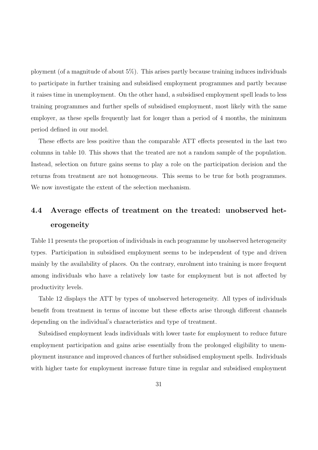ployment (of a magnitude of about 5%). This arises partly because training induces individuals to participate in further training and subsidised employment programmes and partly because it raises time in unemployment. On the other hand, a subsidised employment spell leads to less training programmes and further spells of subsidised employment, most likely with the same employer, as these spells frequently last for longer than a period of 4 months, the minimum period defined in our model.

These effects are less positive than the comparable ATT effects presented in the last two columns in table 10. This shows that the treated are not a random sample of the population. Instead, selection on future gains seems to play a role on the participation decision and the returns from treatment are not homogeneous. This seems to be true for both programmes. We now investigate the extent of the selection mechanism.

# 4.4 Average effects of treatment on the treated: unobserved heterogeneity

Table 11 presents the proportion of individuals in each programme by unobserved heterogeneity types. Participation in subsidised employment seems to be independent of type and driven mainly by the availability of places. On the contrary, enrolment into training is more frequent among individuals who have a relatively low taste for employment but is not affected by productivity levels.

Table 12 displays the ATT by types of unobserved heterogeneity. All types of individuals benefit from treatment in terms of income but these effects arise through different channels depending on the individual's characteristics and type of treatment.

Subsidised employment leads individuals with lower taste for employment to reduce future employment participation and gains arise essentially from the prolonged eligibility to unemployment insurance and improved chances of further subsidised employment spells. Individuals with higher taste for employment increase future time in regular and subsidised employment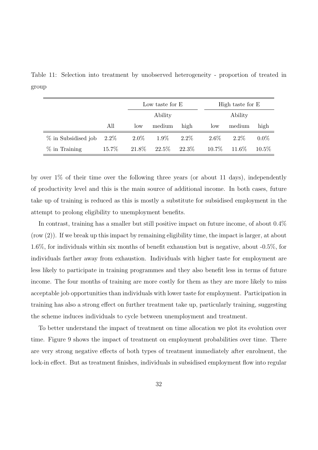Table 11: Selection into treatment by unobserved heterogeneity - proportion of treated in group

|                     |         |         | Low taste for E |         |          | High taste for E |          |
|---------------------|---------|---------|-----------------|---------|----------|------------------|----------|
|                     |         |         | Ability         |         |          | Ability          |          |
|                     | All     | low     | medium          | high    | low      | medium           | high     |
| % in Subsidised job | $2.2\%$ | $2.0\%$ | $1.9\%$         | $2.2\%$ | $2.6\%$  | $2.2\%$          | $0.0\%$  |
| $\%$ in Training    | 15.7%   | 21.8%   | 22.5%           | 22.3\%  | $10.7\%$ | 11.6\%           | $10.5\%$ |

by over 1% of their time over the following three years (or about 11 days), independently of productivity level and this is the main source of additional income. In both cases, future take up of training is reduced as this is mostly a substitute for subsidised employment in the attempt to prolong eligibility to unemployment benefits.

In contrast, training has a smaller but still positive impact on future income, of about 0.4% (row (2)). If we break up this impact by remaining eligibility time, the impact is larger, at about 1.6%, for individuals within six months of benefit exhaustion but is negative, about -0.5%, for individuals farther away from exhaustion. Individuals with higher taste for employment are less likely to participate in training programmes and they also benefit less in terms of future income. The four months of training are more costly for them as they are more likely to miss acceptable job opportunities than individuals with lower taste for employment. Participation in training has also a strong effect on further treatment take up, particularly training, suggesting the scheme induces individuals to cycle between unemployment and treatment.

To better understand the impact of treatment on time allocation we plot its evolution over time. Figure 9 shows the impact of treatment on employment probabilities over time. There are very strong negative effects of both types of treatment immediately after enrolment, the lock-in effect. But as treatment finishes, individuals in subsidised employment flow into regular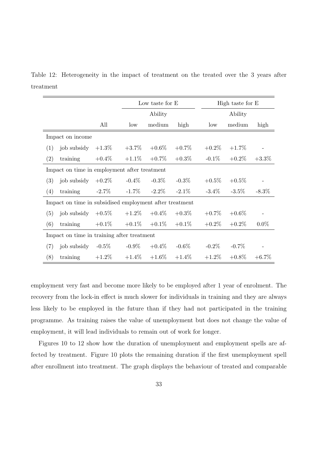Table 12: Heterogeneity in the impact of treatment on the treated over the 3 years after treatment

|                                                         |                                              |           | Low taste for E |          | High taste for E |          |          |          |
|---------------------------------------------------------|----------------------------------------------|-----------|-----------------|----------|------------------|----------|----------|----------|
|                                                         |                                              |           | Ability         |          | Ability          |          |          |          |
|                                                         |                                              | All       | low             | medium   | high             | low      | medium   | high     |
|                                                         | Impact on income                             |           |                 |          |                  |          |          |          |
| (1)                                                     | job subsidy                                  | $+1.3\%$  | $+3.7\%$        | $+0.6\%$ | $+0.7\%$         | $+0.2\%$ | $+1.7\%$ |          |
| (2)                                                     | training                                     | $+0.4\%$  | $+1.1\%$        | $+0.7\%$ | $+0.3\%$         | $-0.1\%$ | $+0.2\%$ | $+3.3\%$ |
|                                                         | Impact on time in employment after treatment |           |                 |          |                  |          |          |          |
| (3)                                                     | job subsidy                                  | $+0.2\%$  | $-0.4\%$        | $-0.3\%$ | $-0.3\%$         | $+0.5\%$ | $+0.5\%$ |          |
| (4)                                                     | training                                     | $-2.7\%$  | $-1.7\%$        | $-2.2\%$ | $-2.1\%$         | $-3.4\%$ | $-3.5\%$ | $-8.3\%$ |
| Impact on time in subsidised employment after treatment |                                              |           |                 |          |                  |          |          |          |
| (5)                                                     | job subsidy                                  | $+0.5\%$  | $+1.2\%$        | $+0.4\%$ | $+0.3\%$         | $+0.7\%$ | $+0.6\%$ |          |
| (6)                                                     | training                                     | $+0.1\%$  | $+0.1\%$        | $+0.1\%$ | $+0.1\%$         | $+0.2\%$ | $+0.2\%$ | $0.0\%$  |
| Impact on time in training after treatment              |                                              |           |                 |          |                  |          |          |          |
| (7)                                                     | job subsidy                                  | -0.5 $\%$ | $-0.9\%$        | $+0.4\%$ | $-0.6\%$         | $-0.2\%$ | $-0.7\%$ |          |
| (8)                                                     | training                                     | $+1.2\%$  | $+1.4\%$        | $+1.6\%$ | $+1.4\%$         | $+1.2\%$ | $+0.8\%$ | $+6.7\%$ |

employment very fast and become more likely to be employed after 1 year of enrolment. The recovery from the lock-in effect is much slower for individuals in training and they are always less likely to be employed in the future than if they had not participated in the training programme. As training raises the value of unemployment but does not change the value of employment, it will lead individuals to remain out of work for longer.

Figures 10 to 12 show how the duration of unemployment and employment spells are affected by treatment. Figure 10 plots the remaining duration if the first unemployment spell after enrollment into treatment. The graph displays the behaviour of treated and comparable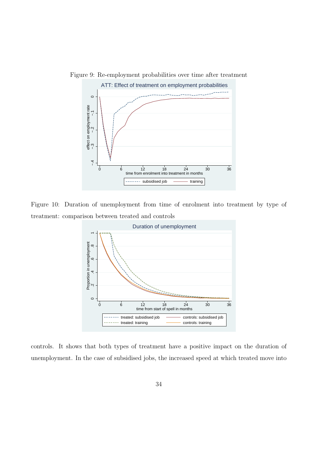

Figure 9: Re-employment probabilities over time after treatment

Figure 10: Duration of unemployment from time of enrolment into treatment by type of treatment: comparison between treated and controls



controls. It shows that both types of treatment have a positive impact on the duration of unemployment. In the case of subsidised jobs, the increased speed at which treated move into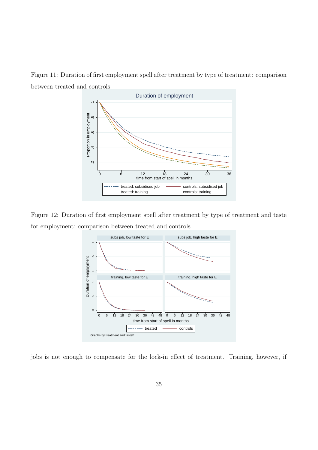Figure 11: Duration of first employment spell after treatment by type of treatment: comparison between treated and controls



Figure 12: Duration of first employment spell after treatment by type of treatment and taste for employment: comparison between treated and controls



jobs is not enough to compensate for the lock-in effect of treatment. Training, however, if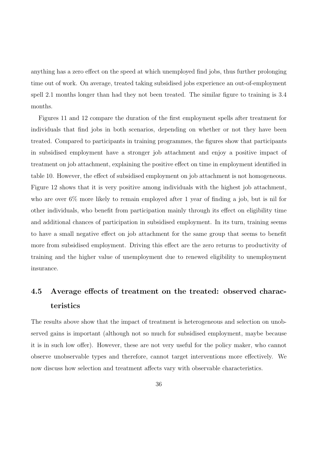anything has a zero effect on the speed at which unemployed find jobs, thus further prolonging time out of work. On average, treated taking subsidised jobs experience an out-of-employment spell 2.1 months longer than had they not been treated. The similar figure to training is 3.4 months.

Figures 11 and 12 compare the duration of the first employment spells after treatment for individuals that find jobs in both scenarios, depending on whether or not they have been treated. Compared to participants in training programmes, the figures show that participants in subsidised employment have a stronger job attachment and enjoy a positive impact of treatment on job attachment, explaining the positive effect on time in employment identified in table 10. However, the effect of subsidised employment on job attachment is not homogeneous. Figure 12 shows that it is very positive among individuals with the highest job attachment, who are over 6% more likely to remain employed after 1 year of finding a job, but is nil for other individuals, who benefit from participation mainly through its effect on eligibility time and additional chances of participation in subsidised employment. In its turn, training seems to have a small negative effect on job attachment for the same group that seems to benefit more from subsidised employment. Driving this effect are the zero returns to productivity of training and the higher value of unemployment due to renewed eligibility to unemployment insurance.

# 4.5 Average effects of treatment on the treated: observed characteristics

The results above show that the impact of treatment is heterogeneous and selection on unobserved gains is important (although not so much for subsidised employment, maybe because it is in such low offer). However, these are not very useful for the policy maker, who cannot observe unobservable types and therefore, cannot target interventions more effectively. We now discuss how selection and treatment affects vary with observable characteristics.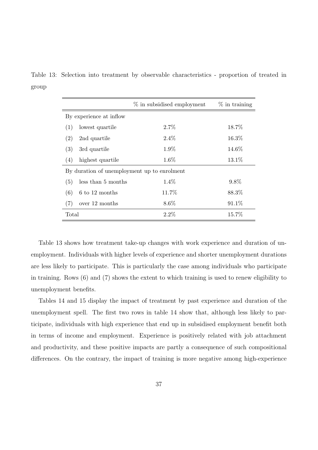Table 13: Selection into treatment by observable characteristics - proportion of treated in group

|                                             |                    | % in subsidised employment | $\%$ in training |  |  |  |
|---------------------------------------------|--------------------|----------------------------|------------------|--|--|--|
| By experience at inflow                     |                    |                            |                  |  |  |  |
| (1)                                         | lowest quartile    | $2.7\%$                    | 18.7%            |  |  |  |
| (2)                                         | 2nd quartile       | $2.4\%$                    | 16.3%            |  |  |  |
| (3)                                         | 3rd quartile       | $1.9\%$                    | 14.6%            |  |  |  |
| (4)                                         | highest quartile   | $1.6\%$                    | 13.1\%           |  |  |  |
| By duration of unemployment up to enrolment |                    |                            |                  |  |  |  |
| (5)                                         | less than 5 months | $1.4\%$                    | $9.8\%$          |  |  |  |
| (6)                                         | 6 to 12 months     | 11.7%                      | 88.3%            |  |  |  |
| (7)                                         | over 12 months     | $8.6\%$                    | 91.1%            |  |  |  |
| Total                                       |                    | 2.2%                       | 15.7%            |  |  |  |

Table 13 shows how treatment take-up changes with work experience and duration of unemployment. Individuals with higher levels of experience and shorter unemployment durations are less likely to participate. This is particularly the case among individuals who participate in training. Rows (6) and (7) shows the extent to which training is used to renew eligibility to unemployment benefits.

Tables 14 and 15 display the impact of treatment by past experience and duration of the unemployment spell. The first two rows in table 14 show that, although less likely to participate, individuals with high experience that end up in subsidised employment benefit both in terms of income and employment. Experience is positively related with job attachment and productivity, and these positive impacts are partly a consequence of such compositional differences. On the contrary, the impact of training is more negative among high-experience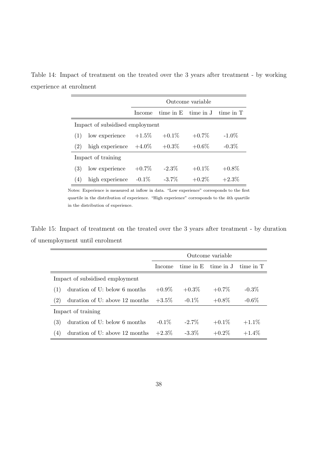Table 14: Impact of treatment on the treated over the 3 years after treatment - by working experience at enrolment

|                                 |                 | Outcome variable |               |           |           |  |
|---------------------------------|-----------------|------------------|---------------|-----------|-----------|--|
|                                 |                 | Income           | $time$ in $E$ | time in J | time in T |  |
| Impact of subsidised employment |                 |                  |               |           |           |  |
| (1)                             | low experience  | $+1.5\%$         | $+0.1\%$      | $+0.7\%$  | $-1.0\%$  |  |
| (2)                             | high experience | $+4.0\%$         | $+0.3\%$      | $+0.6\%$  | $-0.3\%$  |  |
| Impact of training              |                 |                  |               |           |           |  |
| (3)                             | low experience  | $+0.7\%$         | $-2.3\%$      | $+0.1\%$  | $+0.8\%$  |  |
| 4)                              | high experience | $-0.1\%$         | $-3.7\%$      | $+0.2\%$  | $+2.3\%$  |  |

Notes: Experience is measured at inflow in data. "Low experience" corresponds to the first quartile in the distribution of experience. "High experience" corresponds to the 4th quartile in the distribution of experience.

Table 15: Impact of treatment on the treated over the 3 years after treatment - by duration of unemployment until enrolment

|                                 |                                | Outcome variable |                         |          |           |
|---------------------------------|--------------------------------|------------------|-------------------------|----------|-----------|
|                                 |                                | Income           | time in $E$ time in $J$ |          | time in T |
| Impact of subsidised employment |                                |                  |                         |          |           |
| (1)                             | duration of U: below 6 months  | $+0.9\%$         | $+0.3\%$                | $+0.7\%$ | $-0.3\%$  |
| (2)                             | duration of U: above 12 months | $+3.5\%$         | $-0.1\%$                | $+0.8\%$ | $-0.6\%$  |
| Impact of training              |                                |                  |                         |          |           |
| (3)                             | duration of U: below 6 months  | $-0.1\%$         | $-2.7\%$                | $+0.1\%$ | $+1.1\%$  |
| (4)                             | duration of U: above 12 months | $+2.3\%$         | $-3.3\%$                | $+0.2\%$ | $+1.4\%$  |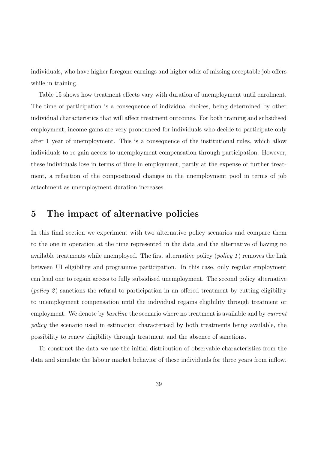individuals, who have higher foregone earnings and higher odds of missing acceptable job offers while in training.

Table 15 shows how treatment effects vary with duration of unemployment until enrolment. The time of participation is a consequence of individual choices, being determined by other individual characteristics that will affect treatment outcomes. For both training and subsidised employment, income gains are very pronounced for individuals who decide to participate only after 1 year of unemployment. This is a consequence of the institutional rules, which allow individuals to re-gain access to unemployment compensation through participation. However, these individuals lose in terms of time in employment, partly at the expense of further treatment, a reflection of the compositional changes in the unemployment pool in terms of job attachment as unemployment duration increases.

# 5 The impact of alternative policies

In this final section we experiment with two alternative policy scenarios and compare them to the one in operation at the time represented in the data and the alternative of having no available treatments while unemployed. The first alternative policy  $(\text{policy 1})$  removes the link between UI eligibility and programme participation. In this case, only regular employment can lead one to regain access to fully subsidised unemployment. The second policy alternative (*policy 2*) sanctions the refusal to participation in an offered treatment by cutting eligibility to unemployment compensation until the individual regains eligibility through treatment or employment. We denote by *baseline* the scenario where no treatment is available and by *current* policy the scenario used in estimation characterised by both treatments being available, the possibility to renew eligibility through treatment and the absence of sanctions.

To construct the data we use the initial distribution of observable characteristics from the data and simulate the labour market behavior of these individuals for three years from inflow.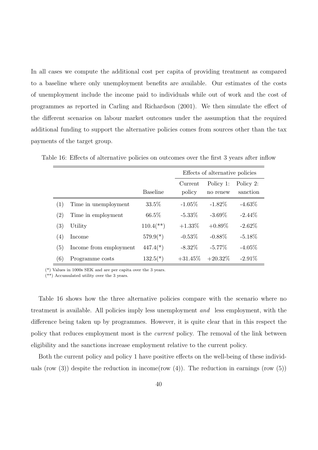In all cases we compute the additional cost per capita of providing treatment as compared to a baseline where only unemployment benefits are available. Our estimates of the costs of unemployment include the income paid to individuals while out of work and the cost of programmes as reported in Carling and Richardson (2001). We then simulate the effect of the different scenarios on labour market outcomes under the assumption that the required additional funding to support the alternative policies comes from sources other than the tax payments of the target group.

|                   |                        |                           | Effects of alternative policies |                       |                       |
|-------------------|------------------------|---------------------------|---------------------------------|-----------------------|-----------------------|
|                   |                        | <b>Baseline</b>           | Current<br>policy               | Policy 1:<br>no renew | Policy 2:<br>sanction |
| (1)               | Time in unemployment   | 33.5%                     | $-1.05%$                        | $-1.82\%$             | $-4.63\%$             |
| $\left( 2\right)$ | Time in employment     | 66.5%                     | $-5.33\%$                       | $-3.69\%$             | $-2.44\%$             |
| (3)               | Utility                | $110.4$ <sup>(**)</sup> ) | $+1.33\%$                       | $+0.89\%$             | $-2.62\%$             |
| (4)               | Income                 | $579.9(*)$                | $-0.53\%$                       | $-0.88\%$             | $-5.18\%$             |
| (5)               | Income from employment | $447.4(*)$                | $-8.32\%$                       | $-5.77\%$             | $-4.05\%$             |
| (6)               | Programme costs        | $132.5(*)$                | $+31.45\%$                      | $+20.32\%$            | $-2.91\%$             |

Table 16: Effects of alternative policies on outcomes over the first 3 years after inflow

(\*) Values in 1000s SEK and are per capita over the 3 years.

(\*\*) Accumulated utility over the 3 years.

Table 16 shows how the three alternative policies compare with the scenario where no treatment is available. All policies imply less unemployment and less employment, with the difference being taken up by programmes. However, it is quite clear that in this respect the policy that reduces employment most is the current policy. The removal of the link between eligibility and the sanctions increase employment relative to the current policy.

Both the current policy and policy 1 have positive effects on the well-being of these individuals (row  $(3)$ ) despite the reduction in income(row  $(4)$ ). The reduction in earnings (row  $(5)$ )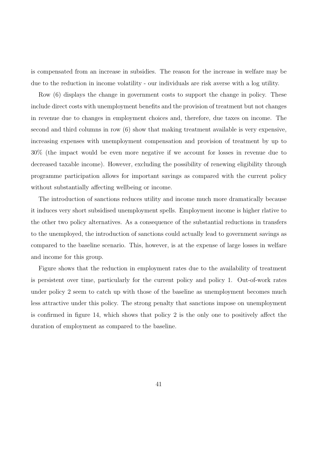is compensated from an increase in subsidies. The reason for the increase in welfare may be due to the reduction in income volatility - our individuals are risk averse with a log utility.

Row (6) displays the change in government costs to support the change in policy. These include direct costs with unemployment benefits and the provision of treatment but not changes in revenue due to changes in employment choices and, therefore, due taxes on income. The second and third columns in row (6) show that making treatment available is very expensive, increasing expenses with unemployment compensation and provision of treatment by up to 30% (the impact would be even more negative if we account for losses in revenue due to decreased taxable income). However, excluding the possibility of renewing eligibility through programme participation allows for important savings as compared with the current policy without substantially affecting wellbeing or income.

The introduction of sanctions reduces utility and income much more dramatically because it induces very short subsidised unemployment spells. Employment income is higher rlative to the other two policy alternatives. As a consequence of the substantial reductions in transfers to the unemployed, the introduction of sanctions could actually lead to government savings as compared to the baseline scenario. This, however, is at the expense of large losses in welfare and income for this group.

Figure shows that the reduction in employment rates due to the availability of treatment is persistent over time, particularly for the current policy and policy 1. Out-of-work rates under policy 2 seem to catch up with those of the baseline as unemployment becomes much less attractive under this policy. The strong penalty that sanctions impose on unemployment is confirmed in figure 14, which shows that policy 2 is the only one to positively affect the duration of employment as compared to the baseline.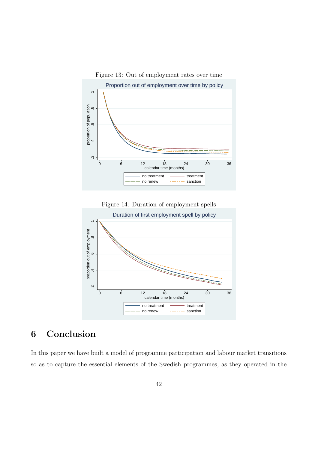

Figure 14: Duration of employment spells



# 6 Conclusion

In this paper we have built a model of programme participation and labour market transitions so as to capture the essential elements of the Swedish programmes, as they operated in the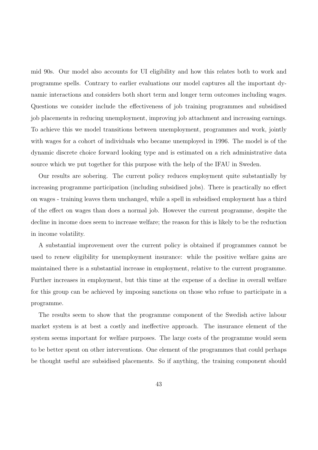mid 90s. Our model also accounts for UI eligibility and how this relates both to work and programme spells. Contrary to earlier evaluations our model captures all the important dynamic interactions and considers both short term and longer term outcomes including wages. Questions we consider include the effectiveness of job training programmes and subsidised job placements in reducing unemployment, improving job attachment and increasing earnings. To achieve this we model transitions between unemployment, programmes and work, jointly with wages for a cohort of individuals who became unemployed in 1996. The model is of the dynamic discrete choice forward looking type and is estimated on a rich administrative data source which we put together for this purpose with the help of the IFAU in Sweden.

Our results are sobering. The current policy reduces employment quite substantially by increasing programme participation (including subsidised jobs). There is practically no effect on wages - training leaves them unchanged, while a spell in subsidised employment has a third of the effect on wages than does a normal job. However the current programme, despite the decline in income does seem to increase welfare; the reason for this is likely to be the reduction in income volatility.

A substantial improvement over the current policy is obtained if programmes cannot be used to renew eligibility for unemployment insurance: while the positive welfare gains are maintained there is a substantial increase in employment, relative to the current programme. Further increases in employment, but this time at the expense of a decline in overall welfare for this group can be achieved by imposing sanctions on those who refuse to participate in a programme.

The results seem to show that the programme component of the Swedish active labour market system is at best a costly and ineffective approach. The insurance element of the system seems important for welfare purposes. The large costs of the programme would seem to be better spent on other interventions. One element of the programmes that could perhaps be thought useful are subsidised placements. So if anything, the training component should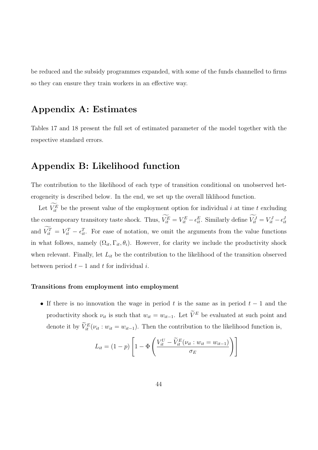be reduced and the subsidy programmes expanded, with some of the funds channelled to firms so they can ensure they train workers in an effective way.

# Appendix A: Estimates

Tables 17 and 18 present the full set of estimated parameter of the model together with the respective standard errors.

# Appendix B: Likelihood function

The contribution to the likelihood of each type of transition conditional on unobserved heterogeneity is described below. In the end, we set up the overall liklihood function.

Let  $\widetilde{V}_{it}^E$  be the present value of the employment option for individual i at time t excluding the contemporary transitory taste shock. Thus,  $\widetilde{V_{it}}^E = V_{it}^E - \epsilon_{it}^E$ . Similarly define  $\widetilde{V_{it}}^J = V_{it}^J - \epsilon_{it}^J$ and  $\widetilde{V}_{it}^T = V_{it}^T - \epsilon_{it}^T$ . For ease of notation, we omit the arguments from the value functions in what follows, namely  $(\Omega_{it}, \Gamma_{it}, \theta_i)$ . However, for clarity we include the productivity shock when relevant. Finally, let  $L_{it}$  be the contribution to the likelihood of the transition observed between period  $t - 1$  and t for individual i.

#### Transitions from employment into employment

• If there is no innovation the wage in period t is the same as in period  $t - 1$  and the productivity shock  $\nu_{it}$  is such that  $w_{it} = w_{it-1}$ . Let  $\widetilde{V}^E$  be evaluated at such point and denote it by  $\widetilde{V}_{it}^{E}(\nu_{it}: w_{it} = w_{it-1})$ . Then the contribution to the likelihood function is,

$$
L_{it} = (1 - p) \left[ 1 - \Phi \left( \frac{V_{it}^U - \widetilde{V}_{it}^E(\nu_{it} : w_{it} = w_{it-1})}{\sigma_E} \right) \right]
$$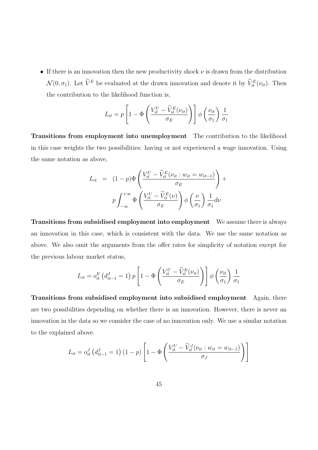• If there is an innovation then the new productivity shock  $\nu$  is drawn from the distribution  $\mathcal{N}(0, \sigma_1)$ . Let  $\widetilde{V}^E$  be evaluated at the drawn innovation and denote it by  $\widetilde{V}^E_{it}(\nu_{it})$ . Then the contribution to the likelihood function is,

$$
L_{it} = p \left[ 1 - \Phi \left( \frac{V_{it}^U - \widetilde{V}_{it}^E(\nu_{it})}{\sigma_E} \right) \right] \phi \left( \frac{\nu_{it}}{\sigma_1} \right) \frac{1}{\sigma_1}
$$

Transitions from employment into unemployment The contribution to the likelihood in this case weights the two possibilities: having or not experienced a wage innovation. Using the same notation as above,

$$
L_{it} = (1-p)\Phi\left(\frac{V_{it}^U - \widetilde{V}_{it}^E(\nu_{it} : w_{it} = w_{it-1})}{\sigma_E}\right) +
$$

$$
p\int_{-\infty}^{+\infty} \Phi\left(\frac{V_{it}^U - \widetilde{V}_{it}^E(\nu)}{\sigma_E}\right) \phi\left(\frac{\nu}{\sigma_1}\right) \frac{1}{\sigma_1} d\nu
$$

Transitions from subsidised employment into employment We assume there is always an innovation in this case, which is consistent with the data. We use the same notation as above. We also omit the arguments from the offer rates for simplicity of notation except for the previous labour market status,

$$
L_{it} = o_{it}^{E} (d_{it-1}^{J} = 1) p \left[ 1 - \Phi \left( \frac{V_{it}^{U} - \widetilde{V}_{it}^{E}(\nu_{it})}{\sigma_{E}} \right) \right] \phi \left( \frac{\nu_{it}}{\sigma_{1}} \right) \frac{1}{\sigma_{1}}
$$

Transitions from subsidised employment into subsidised employment Again, there are two possibilities depending on whether there is an innovation. However, there is never an innovation in the data so we consider the case of no innovation only. We use a similar notation to the explained above.

$$
L_{it} = o_{it}^{J} (d_{it-1}^{J} = 1) (1-p) \left[ 1 - \Phi \left( \frac{V_{it}^{U} - \widetilde{V}_{it}^{J}(\nu_{it} : w_{it} = w_{it-1})}{\sigma_{J}} \right) \right]
$$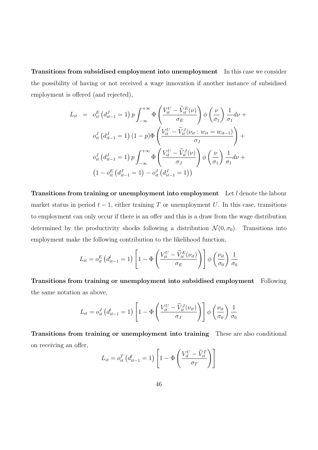Transitions from subsidised employment into unemployment In this case we consider the possibility of having or not received a wage innovation if another instance of subsidised employment is offered (and rejected),

$$
L_{it} = o_{it}^{E} (d_{it-1}^{J} = 1) p \int_{-\infty}^{+\infty} \Phi \left( \frac{V_{it}^{U} - \tilde{V}_{it}^{E}(\nu)}{\sigma_{E}} \right) \phi \left( \frac{\nu}{\sigma_{1}} \right) \frac{1}{\sigma_{1}} d\nu + o_{it}^{J} (d_{it-1}^{J} = 1) (1 - p) \Phi \left( \frac{V_{it}^{U} - \tilde{V}_{it}^{J}(\nu_{it} : w_{it} = w_{it-1})}{\sigma_{J}} \right) + o_{it}^{J} (d_{it-1}^{J} = 1) p \int_{-\infty}^{+\infty} \Phi \left( \frac{V_{it}^{U} - \tilde{V}_{it}^{J}(\nu)}{\sigma_{J}} \right) \phi \left( \frac{\nu}{\sigma_{1}} \right) \frac{1}{\sigma_{1}} d\nu + o_{it}^{E} (d_{it-1}^{J} = 1) - o_{it}^{J} (d_{it-1}^{J} = 1))
$$

Transitions from training or unemployment into employment Let l denote the labour market status in period  $t - 1$ , either training T or unemployment U. In this case, transitions to employment can only occur if there is an offer and this is a draw from the wage distribution determined by the productivity shocks following a distribution  $\mathcal{N}(0, \sigma_0)$ . Transitions into employment make the following contribution to the likelihood function,

$$
L_{it} = o_{it}^{E} (d_{it-1}^{l} = 1) \left[ 1 - \Phi \left( \frac{V_{it}^{U} - \widetilde{V}_{it}^{E}(\nu_{it})}{\sigma_{E}} \right) \right] \phi \left( \frac{\nu_{it}}{\sigma_{0}} \right) \frac{1}{\sigma_{0}}
$$

Transitions from training or unemployment into subsidised employment Following the same notation as above,

$$
L_{it} = o_{it}^J \left( d_{it-1}^l = 1 \right) \left[ 1 - \Phi \left( \frac{V_{it}^U - \widetilde{V}_{it}^J(\nu_{it})}{\sigma_J} \right) \right] \phi \left( \frac{\nu_{it}}{\sigma_0} \right) \frac{1}{\sigma_0}
$$

Transitions from training or unemployment into training These are also conditional on receiving an offer,  $\overline{a}$  $\overline{a}$  $\ddot{\phantom{1}}$ 

$$
L_{it} = o_{it}^{T} \left( d_{it-1}^{l} = 1 \right) \left[ 1 - \Phi \left( \frac{V_{it}^{U} - \widetilde{V}_{it}^{T}}{\sigma_{T}} \right) \right]
$$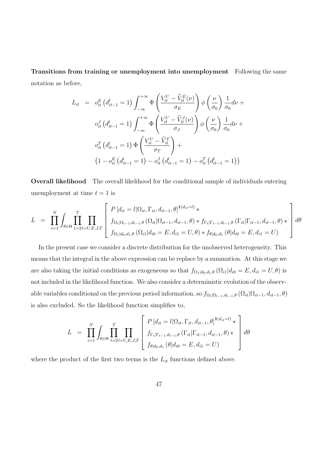Transitions from training or unemployment into unemployment Following the same notation as before,

$$
L_{it} = o_{it}^{E} (d_{it-1}^{l} = 1) \int_{-\infty}^{+\infty} \Phi\left(\frac{V_{it}^{U} - \tilde{V}_{it}^{E}(\nu)}{\sigma_{E}}\right) \phi\left(\frac{\nu}{\sigma_{0}}\right) \frac{1}{\sigma_{0}} d\nu + o_{it}^{J} (d_{it-1}^{l} = 1) \int_{-\infty}^{+\infty} \Phi\left(\frac{V_{it}^{U} - \tilde{V}_{it}^{J}(\nu)}{\sigma_{J}}\right) \phi\left(\frac{\nu}{\sigma_{0}}\right) \frac{1}{\sigma_{0}} d\nu + o_{it}^{T} (d_{it-1}^{l} = 1) \Phi\left(\frac{V_{it}^{U} - \tilde{V}_{it}^{T}}{\sigma_{T}}\right) + \left(1 - o_{it}^{E} (d_{it-1}^{l} = 1) - o_{it}^{J} (d_{it-1}^{l} = 1) - o_{it}^{T} (d_{it-1}^{l} = 1) \right)
$$

Overall likelihood The overall likelihood for the conditional sample of individuals entering unemployment at time  $t = 1$  is

$$
L = \prod_{i=1}^{N} \int_{\theta \in \Theta} \prod_{t=2l=U,E,J,T}^{T} \left[ \frac{P \left[d_{it} = l | \Omega_{it}, \Gamma_{it}, d_{it-1}, \theta \right]^{1(d_{it}=l)} \ast}{f_{\Omega_{t} | \Omega_{t-1}, d_{t-1}, \theta} \left(\Omega_{it} | \Omega_{it-1}, d_{it-1}, \theta \right) \ast f_{\Gamma_{t} | \Gamma_{t-1}, d_{t-1}, \theta} \left(\Gamma_{it} | \Gamma_{it-1}, d_{it-1}, \theta \right) \ast} \right] d\theta
$$
  

$$
f_{\Omega_{1} | d_{0}, d_{1}, \theta} \left(\Omega_{i1} | d_{i0} = E, d_{i1} = U, \theta \right) \ast f_{\theta | d_{0}, d_{1}} \left(\theta | d_{i0} = E, d_{i1} = U\right)
$$

In the present case we consider a discrete distribution for the unobserved heterogeneity. This means that the integral in the above expression can be replace by a summation. At this stage we are also taking the initial conditions as exogeneous so that  $f_{\Omega_1|d_0,d_1,\theta}$   $(\Omega_{i1}|d_{i0} = E, d_{i1} = U, \theta)$  is not included in the likelihood function. We also consider a deterministic evolution of the observable variables conditional on the previous period information, so  $f_{\Omega_t|\Omega_{t-1},d_{t-1},\theta}(\Omega_{it}|\Omega_{it-1},d_{it-1},\theta)$ is also excluded. So the likelihood function simplifies to,

$$
L = \prod_{i=1}^{N} \int_{\theta \in \Theta} \prod_{t=2}^{T} \prod_{l=U, E, J, T} \left[ \frac{P \left[ d_{it} = l | \Omega_{it}, \Gamma_{it}, d_{it-1}, \theta \right]^{1(d_{it}=l)} \ast}{f_{\Gamma_{t} | \Gamma_{t-1}, d_{t-1}, \theta} \left( \Gamma_{it} | \Gamma_{it-1}, d_{it-1}, \theta \right) \ast} \right] d\theta
$$
\n
$$
d\theta
$$

where the product of the first two terms is the  $L_{it}$  functions defined above.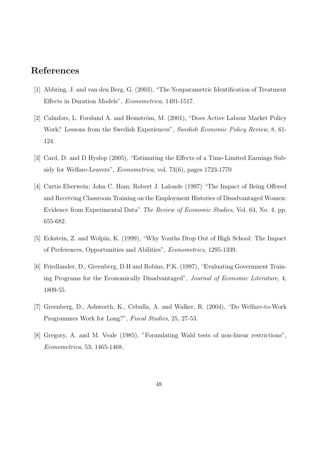# References

- [1] Abbring, J. and van den Berg, G. (2003), "The Nonparametric Identification of Treatment Effects in Duration Models", Econometrica, 1491-1517.
- [2] Calmfors, L. Forslund A. and Hemström, M. (2001), "Does Active Labour Market Policy Work? Lessons from the Swedish Experiences", Swedish Economic Policy Review, 8, 61-124.
- [3] Card, D. and D Hyslop (2005), "Estimating the Effects of a Time-Limited Earnings Subsidy for Welfare-Leavers", Econometrica, vol. 73(6), pages 1723-1770
- [4] Curtis Eberwein; John C. Ham; Robert J. Lalonde (1997) "The Impact of Being Offered and Receiving Classroom Training on the Employment Histories of Disadvantaged Women: Evidence from Experimental Data" The Review of Economic Studies, Vol. 64, No. 4, pp. 655-682.
- [5] Eckstein, Z. and Wolpin, K. (1999), "Why Youths Drop Out of High School: The Impact of Preferences, Opportunities and Abilities", Econometrics, 1295-1339.
- [6] Friedlander, D., Greenberg, D.H and Robins, P.K. (1997), "Evaluating Government Training Programs for the Economically Disadvantaged", Journal of Economic Literature, 4, 1809-55.
- [7] Greenberg, D., Ashworth, K., Cebulla, A. and Walker, R. (2004), "Do Welfare-to-Work Programmes Work for Long?", Fiscal Studies, 25, 27-53.
- [8] Gregory, A. and M. Veale (1985), "Formulating Wald tests of non-linear restrictions", Econometrica, 53, 1465-1468.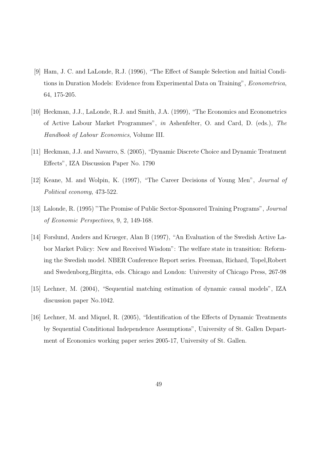- [9] Ham, J. C. and LaLonde, R.J. (1996), "The Effect of Sample Selection and Initial Conditions in Duration Models: Evidence from Experimental Data on Training", Econometrica, 64, 175-205.
- [10] Heckman, J.J., LaLonde, R.J. and Smith, J.A. (1999), "The Economics and Econometrics of Active Labour Market Programmes", in Ashenfelter, O. and Card, D. (eds.), The Handbook of Labour Economics, Volume III.
- [11] Heckman, J.J. and Navarro, S. (2005), "Dynamic Discrete Choice and Dynamic Treatment Effects", IZA Discussion Paper No. 1790
- [12] Keane, M. and Wolpin, K. (1997), "The Career Decisions of Young Men", Journal of Political economy, 473-522.
- [13] Lalonde, R. (1995) "The Promise of Public Sector-Sponsored Training Programs", Journal of Economic Perspectives, 9, 2, 149-168.
- [14] Forslund, Anders and Krueger, Alan B (1997), "An Evaluation of the Swedish Active Labor Market Policy: New and Received Wisdom": The welfare state in transition: Reforming the Swedish model. NBER Conference Report series. Freeman, Richard, Topel,Robert and Swedenborg,Birgitta, eds. Chicago and London: University of Chicago Press, 267-98
- [15] Lechner, M. (2004), "Sequential matching estimation of dynamic causal models", IZA discussion paper No.1042.
- [16] Lechner, M. and Miquel, R. (2005), "Identification of the Effects of Dynamic Treatments by Sequential Conditional Independence Assumptions", University of St. Gallen Department of Economics working paper series 2005-17, University of St. Gallen.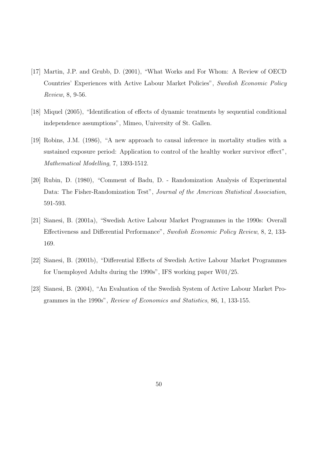- [17] Martin, J.P. and Grubb, D. (2001), "What Works and For Whom: A Review of OECD Countries' Experiences with Active Labour Market Policies", Swedish Economic Policy Review, 8, 9-56.
- [18] Miquel (2005), "Identification of effects of dynamic treatments by sequential conditional independence assumptions", Mimeo, University of St. Gallen.
- [19] Robins, J.M. (1986), "A new approach to causal inference in mortality studies with a sustained exposure period: Application to control of the healthy worker survivor effect", Mathematical Modelling, 7, 1393-1512.
- [20] Rubin, D. (1980), "Comment of Badu, D. Randomization Analysis of Experimental Data: The Fisher-Randomization Test", Journal of the American Statistical Association, 591-593.
- [21] Sianesi, B. (2001a), "Swedish Active Labour Market Programmes in the 1990s: Overall Effectiveness and Differential Performance", Swedish Economic Policy Review, 8, 2, 133- 169.
- [22] Sianesi, B. (2001b), "Differential Effects of Swedish Active Labour Market Programmes for Unemployed Adults during the 1990s", IFS working paper W01/25.
- [23] Sianesi, B. (2004), "An Evaluation of the Swedish System of Active Labour Market Programmes in the 1990s", Review of Economics and Statistics, 86, 1, 133-155.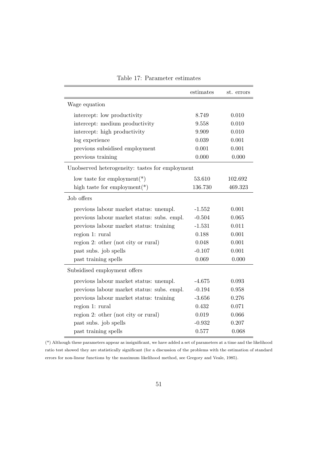|                                                 | estimates | st. errors |  |
|-------------------------------------------------|-----------|------------|--|
| Wage equation                                   |           |            |  |
| intercept: low productivity                     | 8.749     | 0.010      |  |
| intercept: medium productivity                  | 9.558     | 0.010      |  |
| intercept: high productivity                    | 9.909     | 0.010      |  |
| log experience                                  | 0.039     | 0.001      |  |
| previous subsidised employment                  | 0.001     | 0.001      |  |
| previous training                               | 0.000     | 0.000      |  |
| Unobserved heterogeneity: tastes for employment |           |            |  |
| low taste for employment $(*)$                  | 53.610    | 102.692    |  |
| high taste for employment $(*)$                 | 136.730   | 469.323    |  |
| Job offers                                      |           |            |  |
| previous labour market status: unempl.          | $-1.552$  | 0.001      |  |
| previous labour market status: subs. empl.      | $-0.504$  | 0.065      |  |
| previous labour market status: training         | $-1.531$  | 0.011      |  |
| region 1: rural                                 | 0.188     | 0.001      |  |
| region 2: other (not city or rural)             | 0.048     | 0.001      |  |
| past subs. job spells                           | $-0.107$  | 0.001      |  |
| past training spells                            | 0.069     | 0.000      |  |
| Subsidised employment offers                    |           |            |  |
| previous labour market status: unempl.          | $-4.675$  | 0.093      |  |
| previous labour market status: subs. empl.      | $-0.194$  | 0.958      |  |
| previous labour market status: training         | $-3.656$  | 0.276      |  |
| region 1: rural                                 | 0.432     | 0.071      |  |
| region 2: other (not city or rural)             | 0.019     | 0.066      |  |
| past subs. job spells                           | $-0.932$  | 0.207      |  |
| past training spells                            | 0.577     | 0.068      |  |

Table 17: Parameter estimates

(\*) Although these parameters appear as insignificant, we have added a set of parameters at a time and the likelihood ratio test showed they are statistically significant (for a discussion of the problems with the estimation of standard errors for non-linear functions by the maximum likelihood method, see Gregory and Veale, 1985).